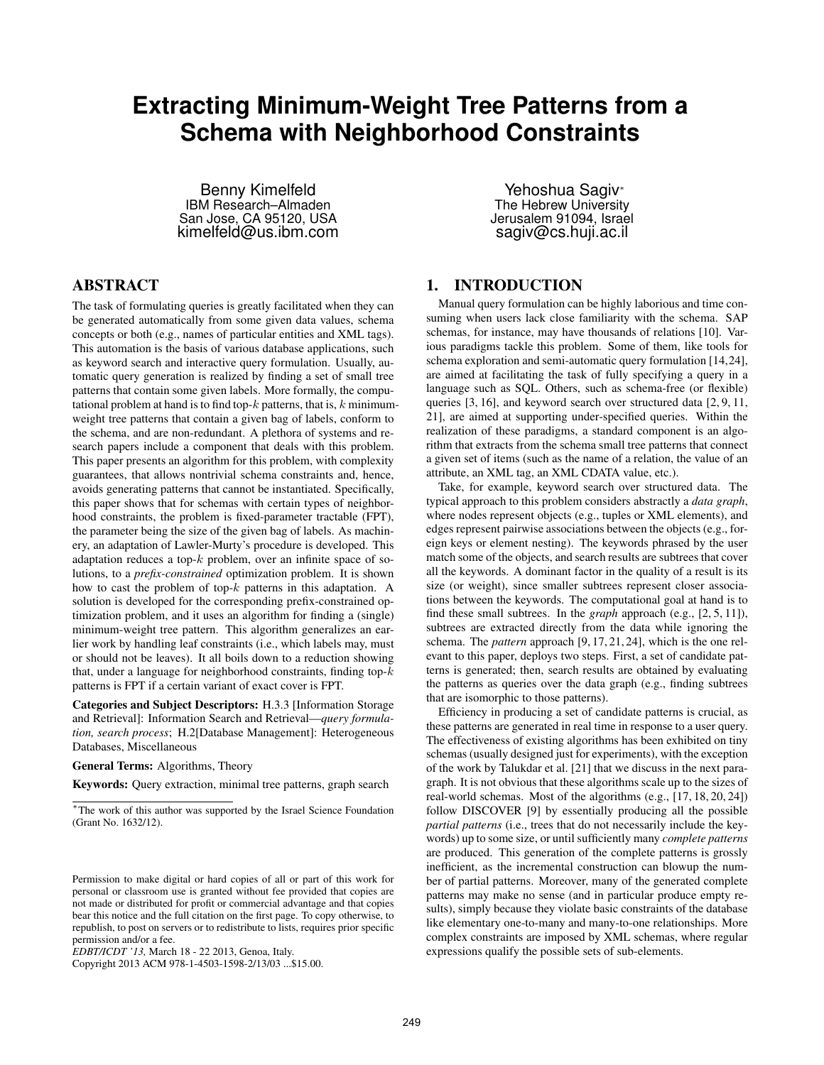# **Extracting Minimum-Weight Tree Patterns from a Schema with Neighborhood Constraints**

Benny Kimelfeld IBM Research–Almaden San Jose, CA 95120, USA kimelfeld@us.ibm.com

Yehoshua Sagiv<sup>∗</sup> The Hebrew University Jerusalem 91094, Israel sagiv@cs.huji.ac.il

# ABSTRACT

The task of formulating queries is greatly facilitated when they can be generated automatically from some given data values, schema concepts or both (e.g., names of particular entities and XML tags). This automation is the basis of various database applications, such as keyword search and interactive query formulation. Usually, automatic query generation is realized by finding a set of small tree patterns that contain some given labels. More formally, the computational problem at hand is to find top- $k$  patterns, that is,  $k$  minimumweight tree patterns that contain a given bag of labels, conform to the schema, and are non-redundant. A plethora of systems and research papers include a component that deals with this problem. This paper presents an algorithm for this problem, with complexity guarantees, that allows nontrivial schema constraints and, hence, avoids generating patterns that cannot be instantiated. Specifically, this paper shows that for schemas with certain types of neighborhood constraints, the problem is fixed-parameter tractable (FPT), the parameter being the size of the given bag of labels. As machinery, an adaptation of Lawler-Murty's procedure is developed. This adaptation reduces a top- $k$  problem, over an infinite space of solutions, to a *prefix-constrained* optimization problem. It is shown how to cast the problem of top- $k$  patterns in this adaptation. A solution is developed for the corresponding prefix-constrained optimization problem, and it uses an algorithm for finding a (single) minimum-weight tree pattern. This algorithm generalizes an earlier work by handling leaf constraints (i.e., which labels may, must or should not be leaves). It all boils down to a reduction showing that, under a language for neighborhood constraints, finding top- $k$ patterns is FPT if a certain variant of exact cover is FPT.

Categories and Subject Descriptors: H.3.3 [Information Storage and Retrieval]: Information Search and Retrieval—*query formulation, search process*; H.2[Database Management]: Heterogeneous Databases, Miscellaneous

General Terms: Algorithms, Theory

Keywords: Query extraction, minimal tree patterns, graph search

# 1. INTRODUCTION

Manual query formulation can be highly laborious and time consuming when users lack close familiarity with the schema. SAP schemas, for instance, may have thousands of relations [10]. Various paradigms tackle this problem. Some of them, like tools for schema exploration and semi-automatic query formulation [14,24], are aimed at facilitating the task of fully specifying a query in a language such as SQL. Others, such as schema-free (or flexible) queries [3, 16], and keyword search over structured data [2, 9, 11, 21], are aimed at supporting under-specified queries. Within the realization of these paradigms, a standard component is an algorithm that extracts from the schema small tree patterns that connect a given set of items (such as the name of a relation, the value of an attribute, an XML tag, an XML CDATA value, etc.).

Take, for example, keyword search over structured data. The typical approach to this problem considers abstractly a *data graph*, where nodes represent objects (e.g., tuples or XML elements), and edges represent pairwise associations between the objects (e.g., foreign keys or element nesting). The keywords phrased by the user match some of the objects, and search results are subtrees that cover all the keywords. A dominant factor in the quality of a result is its size (or weight), since smaller subtrees represent closer associations between the keywords. The computational goal at hand is to find these small subtrees. In the *graph* approach (e.g., [2, 5, 11]), subtrees are extracted directly from the data while ignoring the schema. The *pattern* approach [9, 17, 21, 24], which is the one relevant to this paper, deploys two steps. First, a set of candidate patterns is generated; then, search results are obtained by evaluating the patterns as queries over the data graph (e.g., finding subtrees that are isomorphic to those patterns).

Efficiency in producing a set of candidate patterns is crucial, as these patterns are generated in real time in response to a user query. The effectiveness of existing algorithms has been exhibited on tiny schemas (usually designed just for experiments), with the exception of the work by Talukdar et al. [21] that we discuss in the next paragraph. It is not obvious that these algorithms scale up to the sizes of real-world schemas. Most of the algorithms (e.g., [17, 18, 20, 24]) follow DISCOVER [9] by essentially producing all the possible *partial patterns* (i.e., trees that do not necessarily include the keywords) up to some size, or until sufficiently many *complete patterns* are produced. This generation of the complete patterns is grossly inefficient, as the incremental construction can blowup the number of partial patterns. Moreover, many of the generated complete patterns may make no sense (and in particular produce empty results), simply because they violate basic constraints of the database like elementary one-to-many and many-to-one relationships. More complex constraints are imposed by XML schemas, where regular expressions qualify the possible sets of sub-elements.

<sup>∗</sup> The work of this author was supported by the Israel Science Foundation (Grant No. 1632/12).

Permission to make digital or hard copies of all or part of this work for personal or classroom use is granted without fee provided that copies are not made or distributed for profit or commercial advantage and that copies bear this notice and the full citation on the first page. To copy otherwise, to republish, to post on servers or to redistribute to lists, requires prior specific permission and/or a fee.

*EDBT/ICDT '13,* March 18 - 22 2013, Genoa, Italy.

Copyright 2013 ACM 978-1-4503-1598-2/13/03 ...\$15.00.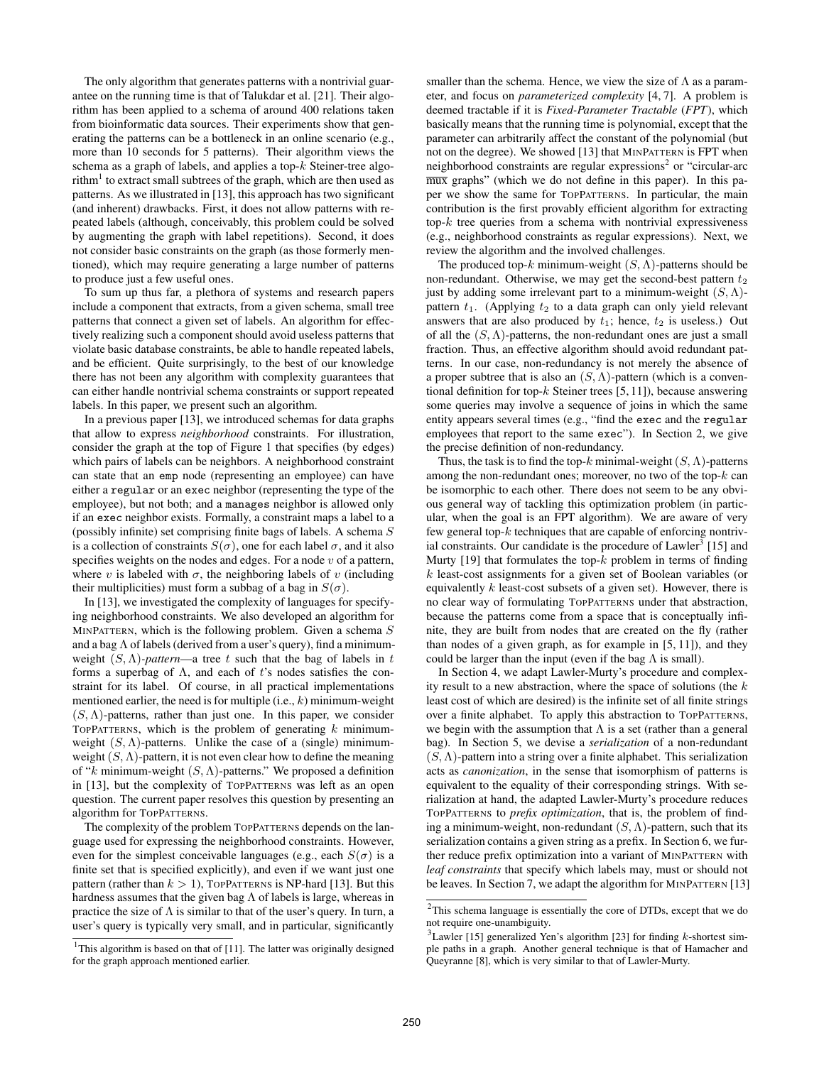The only algorithm that generates patterns with a nontrivial guarantee on the running time is that of Talukdar et al. [21]. Their algorithm has been applied to a schema of around 400 relations taken from bioinformatic data sources. Their experiments show that generating the patterns can be a bottleneck in an online scenario (e.g., more than 10 seconds for 5 patterns). Their algorithm views the schema as a graph of labels, and applies a top- $k$  Steiner-tree algorithm $^{\rm l}$  to extract small subtrees of the graph, which are then used as patterns. As we illustrated in [13], this approach has two significant (and inherent) drawbacks. First, it does not allow patterns with repeated labels (although, conceivably, this problem could be solved by augmenting the graph with label repetitions). Second, it does not consider basic constraints on the graph (as those formerly mentioned), which may require generating a large number of patterns to produce just a few useful ones.

To sum up thus far, a plethora of systems and research papers include a component that extracts, from a given schema, small tree patterns that connect a given set of labels. An algorithm for effectively realizing such a component should avoid useless patterns that violate basic database constraints, be able to handle repeated labels, and be efficient. Quite surprisingly, to the best of our knowledge there has not been any algorithm with complexity guarantees that can either handle nontrivial schema constraints or support repeated labels. In this paper, we present such an algorithm.

In a previous paper [13], we introduced schemas for data graphs that allow to express *neighborhood* constraints. For illustration, consider the graph at the top of Figure 1 that specifies (by edges) which pairs of labels can be neighbors. A neighborhood constraint can state that an emp node (representing an employee) can have either a regular or an exec neighbor (representing the type of the employee), but not both; and a manages neighbor is allowed only if an exec neighbor exists. Formally, a constraint maps a label to a (possibly infinite) set comprising finite bags of labels. A schema S is a collection of constraints  $S(\sigma)$ , one for each label  $\sigma$ , and it also specifies weights on the nodes and edges. For a node  $v$  of a pattern, where v is labeled with  $\sigma$ , the neighboring labels of v (including their multiplicities) must form a subbag of a bag in  $S(\sigma)$ .

In [13], we investigated the complexity of languages for specifying neighborhood constraints. We also developed an algorithm for MINPATTERN, which is the following problem. Given a schema  $S$ and a bag  $\Lambda$  of labels (derived from a user's query), find a minimumweight  $(S, \Lambda)$ *-pattern*—a tree t such that the bag of labels in t forms a superbag of  $\Lambda$ , and each of t's nodes satisfies the constraint for its label. Of course, in all practical implementations mentioned earlier, the need is for multiple  $(i.e., k)$  minimum-weight  $(S, \Lambda)$ -patterns, rather than just one. In this paper, we consider TOPPATTERNS, which is the problem of generating  $k$  minimumweight  $(S, \Lambda)$ -patterns. Unlike the case of a (single) minimumweight  $(S, \Lambda)$ -pattern, it is not even clear how to define the meaning of "k minimum-weight  $(S, \Lambda)$ -patterns." We proposed a definition in [13], but the complexity of TOPPATTERNS was left as an open question. The current paper resolves this question by presenting an algorithm for TOPPATTERNS.

The complexity of the problem TOPPATTERNS depends on the language used for expressing the neighborhood constraints. However, even for the simplest conceivable languages (e.g., each  $S(\sigma)$ ) is a finite set that is specified explicitly), and even if we want just one pattern (rather than  $k > 1$ ), TOPPATTERNS is NP-hard [13]. But this hardness assumes that the given bag  $\Lambda$  of labels is large, whereas in practice the size of  $\Lambda$  is similar to that of the user's query. In turn, a user's query is typically very small, and in particular, significantly

smaller than the schema. Hence, we view the size of  $\Lambda$  as a parameter, and focus on *parameterized complexity* [4, 7]. A problem is deemed tractable if it is *Fixed-Parameter Tractable* (*FPT*), which basically means that the running time is polynomial, except that the parameter can arbitrarily affect the constant of the polynomial (but not on the degree). We showed [13] that MINPATTERN is FPT when neighborhood constraints are regular expressions<sup>2</sup> or "circular-arc mux graphs" (which we do not define in this paper). In this paper we show the same for TOPPATTERNS. In particular, the main contribution is the first provably efficient algorithm for extracting top- $k$  tree queries from a schema with nontrivial expressiveness (e.g., neighborhood constraints as regular expressions). Next, we review the algorithm and the involved challenges.

The produced top-k minimum-weight  $(S, \Lambda)$ -patterns should be non-redundant. Otherwise, we may get the second-best pattern  $t_2$ just by adding some irrelevant part to a minimum-weight  $(S, \Lambda)$ pattern  $t_1$ . (Applying  $t_2$  to a data graph can only yield relevant answers that are also produced by  $t_1$ ; hence,  $t_2$  is useless.) Out of all the  $(S, \Lambda)$ -patterns, the non-redundant ones are just a small fraction. Thus, an effective algorithm should avoid redundant patterns. In our case, non-redundancy is not merely the absence of a proper subtree that is also an  $(S, \Lambda)$ -pattern (which is a conventional definition for top- $k$  Steiner trees [5, 11]), because answering some queries may involve a sequence of joins in which the same entity appears several times (e.g., "find the exec and the regular employees that report to the same exec"). In Section 2, we give the precise definition of non-redundancy.

Thus, the task is to find the top-k minimal-weight  $(S, \Lambda)$ -patterns among the non-redundant ones; moreover, no two of the top- $k$  can be isomorphic to each other. There does not seem to be any obvious general way of tackling this optimization problem (in particular, when the goal is an FPT algorithm). We are aware of very few general top- $k$  techniques that are capable of enforcing nontrivial constraints. Our candidate is the procedure of  $Lawler<sup>3</sup>$  [15] and Murty [19] that formulates the top- $k$  problem in terms of finding k least-cost assignments for a given set of Boolean variables (or equivalently  $k$  least-cost subsets of a given set). However, there is no clear way of formulating TOPPATTERNS under that abstraction, because the patterns come from a space that is conceptually infinite, they are built from nodes that are created on the fly (rather than nodes of a given graph, as for example in [5, 11]), and they could be larger than the input (even if the bag  $\Lambda$  is small).

In Section 4, we adapt Lawler-Murty's procedure and complexity result to a new abstraction, where the space of solutions (the  $k$ least cost of which are desired) is the infinite set of all finite strings over a finite alphabet. To apply this abstraction to TOPPATTERNS, we begin with the assumption that  $\Lambda$  is a set (rather than a general bag). In Section 5, we devise a *serialization* of a non-redundant  $(S, \Lambda)$ -pattern into a string over a finite alphabet. This serialization acts as *canonization*, in the sense that isomorphism of patterns is equivalent to the equality of their corresponding strings. With serialization at hand, the adapted Lawler-Murty's procedure reduces TOPPATTERNS to *prefix optimization*, that is, the problem of finding a minimum-weight, non-redundant  $(S, \Lambda)$ -pattern, such that its serialization contains a given string as a prefix. In Section 6, we further reduce prefix optimization into a variant of MINPATTERN with *leaf constraints* that specify which labels may, must or should not be leaves. In Section 7, we adapt the algorithm for MINPATTERN [13]

<sup>&</sup>lt;sup>1</sup>This algorithm is based on that of [11]. The latter was originally designed for the graph approach mentioned earlier.

 $2$ This schema language is essentially the core of DTDs, except that we do not require one-unambiguity.

 $3$ Lawler [15] generalized Yen's algorithm [23] for finding k-shortest simple paths in a graph. Another general technique is that of Hamacher and Queyranne [8], which is very similar to that of Lawler-Murty.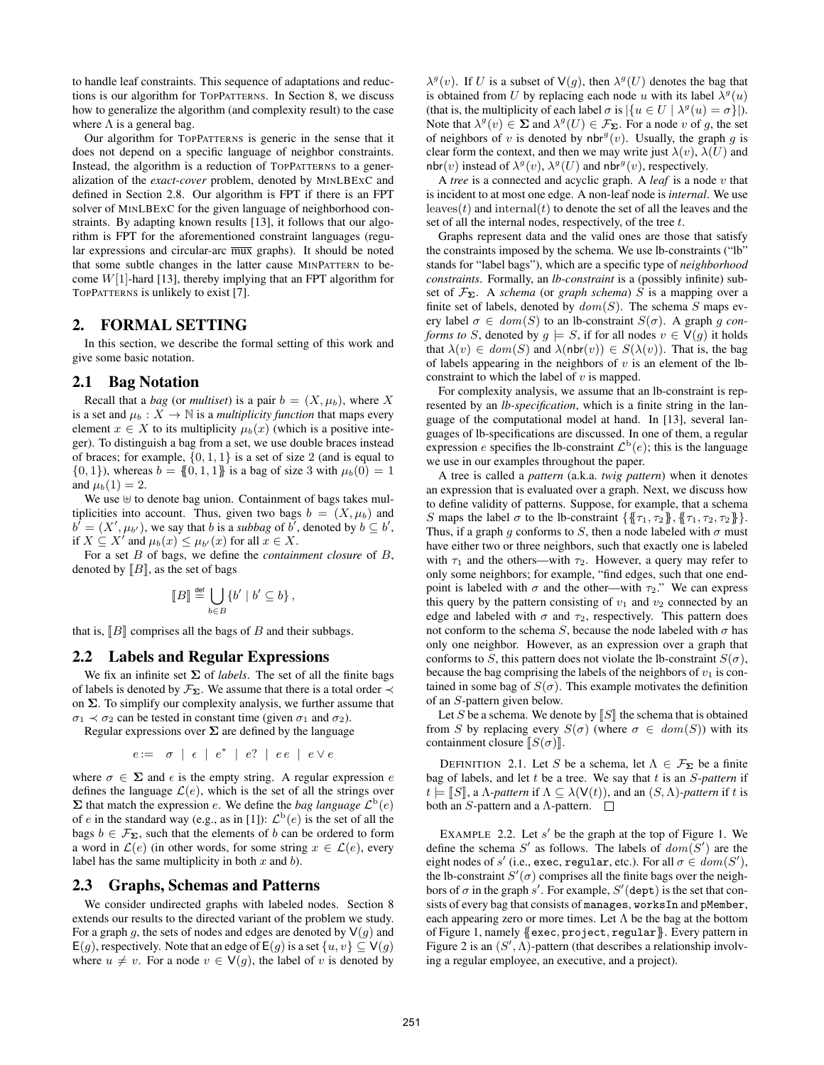to handle leaf constraints. This sequence of adaptations and reductions is our algorithm for TOPPATTERNS. In Section 8, we discuss how to generalize the algorithm (and complexity result) to the case where  $\Lambda$  is a general bag.

Our algorithm for TOPPATTERNS is generic in the sense that it does not depend on a specific language of neighbor constraints. Instead, the algorithm is a reduction of TOPPATTERNS to a generalization of the *exact-cover* problem, denoted by MINLBEXC and defined in Section 2.8. Our algorithm is FPT if there is an FPT solver of MINLBEXC for the given language of neighborhood constraints. By adapting known results [13], it follows that our algorithm is FPT for the aforementioned constraint languages (regular expressions and circular-arc mux graphs). It should be noted that some subtle changes in the latter cause MINPATTERN to become  $W[1]$ -hard [13], thereby implying that an FPT algorithm for TOPPATTERNS is unlikely to exist [7].

# 2. FORMAL SETTING

In this section, we describe the formal setting of this work and give some basic notation.

#### 2.1 Bag Notation

Recall that a *bag* (or *multiset*) is a pair  $b = (X, \mu_b)$ , where X is a set and  $\mu_b: X \to \mathbb{N}$  is a *multiplicity function* that maps every element  $x \in X$  to its multiplicity  $\mu_b(x)$  (which is a positive integer). To distinguish a bag from a set, we use double braces instead of braces; for example,  $\{0, 1, 1\}$  is a set of size 2 (and is equal to  $\{0, 1\}$ , whereas  $b = \{0, 1, 1\}$  is a bag of size 3 with  $\mu_b(0) = 1$ and  $\mu_b(1) = 2$ .

We use  $\uplus$  to denote bag union. Containment of bags takes multiplicities into account. Thus, given two bags  $b = (X, \mu_b)$  and  $\overline{b'} = (X', \mu_{b'})$ , we say that *b* is a *subbag* of *b'*, denoted by  $b \subseteq b'$ , if  $X \subseteq X'$  and  $\mu_b(x) \leq \mu_{b'}(x)$  for all  $x \in X$ .

For a set B of bags, we define the *containment closure* of B, denoted by  $[[B]]$ , as the set of bags

$$
\llbracket B \rrbracket \stackrel{\text{def}}{=} \bigcup_{b \in B} \{b' \mid b' \subseteq b\},\
$$

that is,  $\llbracket B \rrbracket$  comprises all the bags of B and their subbags.

## 2.2 Labels and Regular Expressions

We fix an infinite set  $\Sigma$  of *labels*. The set of all the finite bags of labels is denoted by  $\mathcal{F}_{\Sigma}$ . We assume that there is a total order  $\prec$ on  $\Sigma$ . To simplify our complexity analysis, we further assume that  $\sigma_1 \prec \sigma_2$  can be tested in constant time (given  $\sigma_1$  and  $\sigma_2$ ).

Regular expressions over  $\Sigma$  are defined by the language

$$
e := \sigma \mid \epsilon \mid e^* \mid e? \mid ee \mid e \vee e
$$

where  $\sigma \in \Sigma$  and  $\epsilon$  is the empty string. A regular expression e defines the language  $\mathcal{L}(e)$ , which is the set of all the strings over  $\Sigma$  that match the expression *e*. We define the *bag language*  $\mathcal{L}^{\mathrm{b}}(e)$ of e in the standard way (e.g., as in [1]):  $\mathcal{L}^{b}(e)$  is the set of all the bags  $b \in \mathcal{F}_{\Sigma}$ , such that the elements of b can be ordered to form a word in  $\mathcal{L}(e)$  (in other words, for some string  $x \in \mathcal{L}(e)$ , every label has the same multiplicity in both  $x$  and  $b$ ).

#### 2.3 Graphs, Schemas and Patterns

We consider undirected graphs with labeled nodes. Section 8 extends our results to the directed variant of the problem we study. For a graph g, the sets of nodes and edges are denoted by  $\vee(g)$  and E(g), respectively. Note that an edge of E(g) is a set  $\{u, v\} \subseteq V(g)$ where  $u \neq v$ . For a node  $v \in V(g)$ , the label of v is denoted by

 $\lambda^{g}(v)$ . If U is a subset of  $V(g)$ , then  $\lambda^{g}(U)$  denotes the bag that is obtained from U by replacing each node u with its label  $\lambda^g(u)$ (that is, the multiplicity of each label  $\sigma$  is  $|\{u \in U \mid \lambda^g(u) = \sigma\}|$ ). Note that  $\lambda^g(v) \in \Sigma$  and  $\lambda^g(U) \in \mathcal{F}_{\Sigma}$ . For a node v of g, the set of neighbors of v is denoted by nbr<sup> $g(v)$ </sup>. Usually, the graph g is clear form the context, and then we may write just  $\lambda(v)$ ,  $\lambda(U)$  and nbr(v) instead of  $\lambda^g(v)$ ,  $\lambda^g(U)$  and nbr<sup>g</sup>(v), respectively.

A *tree* is a connected and acyclic graph. A *leaf* is a node v that is incident to at most one edge. A non-leaf node is *internal*. We use leaves $(t)$  and internal $(t)$  to denote the set of all the leaves and the set of all the internal nodes, respectively, of the tree t.

Graphs represent data and the valid ones are those that satisfy the constraints imposed by the schema. We use lb-constraints ("lb" stands for "label bags"), which are a specific type of *neighborhood constraints*. Formally, an *lb-constraint* is a (possibly infinite) subset of  $\mathcal{F}_{\Sigma}$ . A *schema* (or *graph schema*) S is a mapping over a finite set of labels, denoted by  $dom(S)$ . The schema S maps every label  $\sigma \in dom(S)$  to an lb-constraint  $S(\sigma)$ . A graph g con*forms to* S, denoted by  $g \models S$ , if for all nodes  $v \in V(g)$  it holds that  $\lambda(v) \in dom(S)$  and  $\lambda(nbr(v)) \in S(\lambda(v))$ . That is, the bag of labels appearing in the neighbors of  $v$  is an element of the lbconstraint to which the label of  $v$  is mapped.

For complexity analysis, we assume that an lb-constraint is represented by an *lb-specification*, which is a finite string in the language of the computational model at hand. In [13], several languages of lb-specifications are discussed. In one of them, a regular expression *e* specifies the lb-constraint  $\mathcal{L}^b(e)$ ; this is the language we use in our examples throughout the paper.

A tree is called a *pattern* (a.k.a. *twig pattern*) when it denotes an expression that is evaluated over a graph. Next, we discuss how to define validity of patterns. Suppose, for example, that a schema S maps the label  $\sigma$  to the lb-constraint  $\{\{\tau_1, \tau_2\}, \{\tau_1, \tau_2, \tau_2\}\}.$ Thus, if a graph g conforms to S, then a node labeled with  $\sigma$  must have either two or three neighbors, such that exactly one is labeled with  $\tau_1$  and the others—with  $\tau_2$ . However, a query may refer to only some neighbors; for example, "find edges, such that one endpoint is labeled with  $\sigma$  and the other—with  $\tau_2$ ." We can express this query by the pattern consisting of  $v_1$  and  $v_2$  connected by an edge and labeled with  $\sigma$  and  $\tau_2$ , respectively. This pattern does not conform to the schema S, because the node labeled with  $\sigma$  has only one neighbor. However, as an expression over a graph that conforms to S, this pattern does not violate the lb-constraint  $S(\sigma)$ , because the bag comprising the labels of the neighbors of  $v_1$  is contained in some bag of  $S(\sigma)$ . This example motivates the definition of an S-pattern given below.

Let S be a schema. We denote by  $\llbracket S \rrbracket$  the schema that is obtained from S by replacing every  $S(\sigma)$  (where  $\sigma \in dom(S)$ ) with its containment closure  $\llbracket S(\sigma) \rrbracket$ .

DEFINITION 2.1. Let S be a schema, let  $\Lambda \in \mathcal{F}_{\Sigma}$  be a finite bag of labels, and let t be a tree. We say that t is an S*-pattern* if  $t \models \llbracket S \rrbracket$ , a *Λ*-pattern if  $\Lambda \subseteq \lambda(\mathsf{V}(t))$ , and an  $(S, \Lambda)$ -pattern if t is both an S-pattern and a  $\Lambda$ -pattern.  $\square$ 

EXAMPLE 2.2. Let  $s'$  be the graph at the top of Figure 1. We define the schema S' as follows. The labels of  $dom(S')$  are the eight nodes of  $s'$  (i.e., exec, regular, etc.). For all  $\sigma \in dom(S'),$ the lb-constraint  $S'(\sigma)$  comprises all the finite bags over the neighbors of  $\sigma$  in the graph s'. For example,  $S'$  (dept) is the set that consists of every bag that consists of manages, worksIn and pMember, each appearing zero or more times. Let  $\Lambda$  be the bag at the bottom of Figure 1, namely {{exec, project, regular}}. Every pattern in Figure 2 is an  $(S', \Lambda)$ -pattern (that describes a relationship involving a regular employee, an executive, and a project).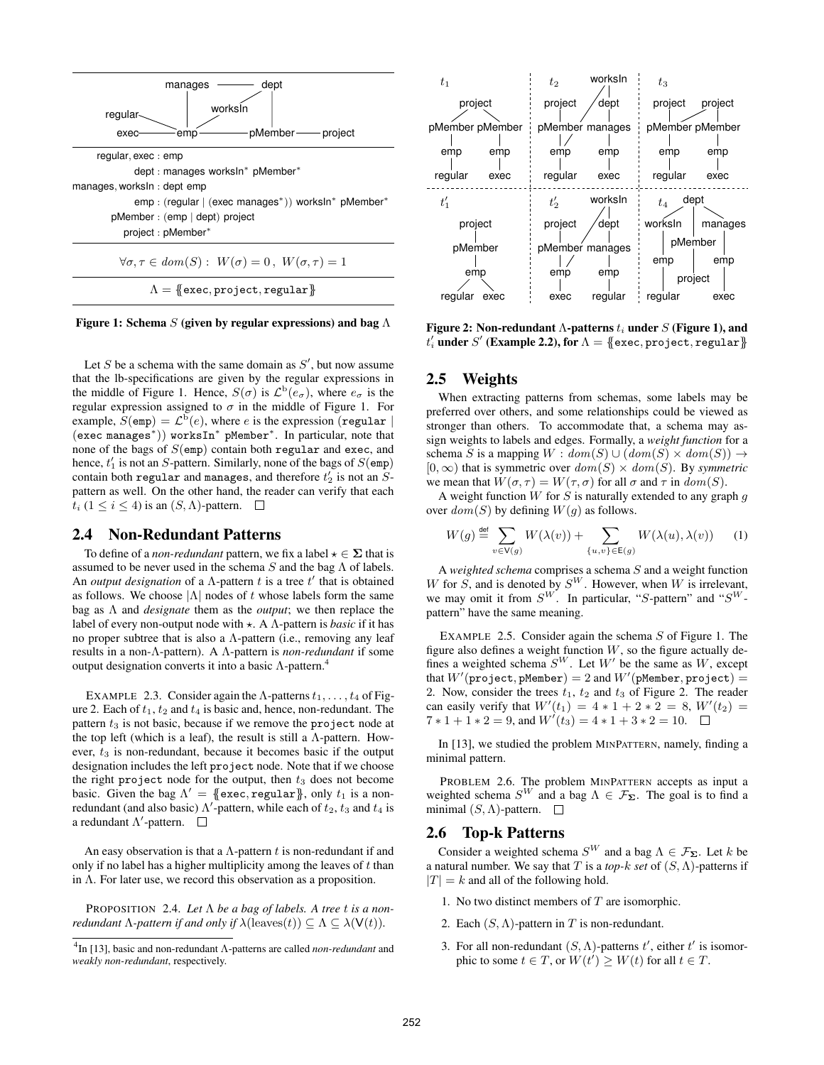

Figure 1: Schema S (given by regular expressions) and bag  $\Lambda$ 

Let  $S$  be a schema with the same domain as  $S'$ , but now assume that the lb-specifications are given by the regular expressions in the middle of Figure 1. Hence,  $S(\sigma)$  is  $\mathcal{L}^{b}(e_{\sigma})$ , where  $e_{\sigma}$  is the regular expression assigned to  $\sigma$  in the middle of Figure 1. For example,  $S$ (emp) =  $\mathcal{L}^5(e)$ , where e is the expression (regular | (exec manages<sup>∗</sup> )) worksIn<sup>∗</sup> pMember<sup>∗</sup> . In particular, note that none of the bags of  $S$ (emp) contain both regular and exec, and hence,  $t_1$  is not an S-pattern. Similarly, none of the bags of  $S$ (emp) contain both regular and manages, and therefore  $t_2^\prime$  is not an  $S$ pattern as well. On the other hand, the reader can verify that each  $t_i$  (1  $\leq i \leq 4$ ) is an  $(S, \Lambda)$ -pattern.  $\square$ 

#### 2.4 Non-Redundant Patterns

To define of a *non-redundant* pattern, we fix a label  $\star \in \Sigma$  that is assumed to be never used in the schema  $S$  and the bag  $\Lambda$  of labels. An *output designation* of a  $\Lambda$ -pattern  $t$  is a tree  $t'$  that is obtained as follows. We choose  $|\Lambda|$  nodes of t whose labels form the same bag as Λ and *designate* them as the *output*; we then replace the label of every non-output node with  $\star$ . A  $\Lambda$ -pattern is *basic* if it has no proper subtree that is also a  $\Lambda$ -pattern (i.e., removing any leaf results in a non-Λ-pattern). A Λ-pattern is *non-redundant* if some output designation converts it into a basic  $Λ$ -pattern.<sup>4</sup>

EXAMPLE 2.3. Consider again the Λ-patterns  $t_1, \ldots, t_4$  of Figure 2. Each of  $t_1$ ,  $t_2$  and  $t_4$  is basic and, hence, non-redundant. The pattern  $t_3$  is not basic, because if we remove the project node at the top left (which is a leaf), the result is still a  $\Lambda$ -pattern. However,  $t_3$  is non-redundant, because it becomes basic if the output designation includes the left project node. Note that if we choose the right project node for the output, then  $t_3$  does not become basic. Given the bag  $\Lambda' = \{\{ \text{exec}, \text{regular} \}, \text{only } t_1 \text{ is a non-} \}$ redundant (and also basic)  $\Lambda'$ -pattern, while each of  $t_2$ ,  $t_3$  and  $t_4$  is a redundant  $\Lambda'$ -pattern.

An easy observation is that a  $\Lambda$ -pattern t is non-redundant if and only if no label has a higher multiplicity among the leaves of  $t$  than in  $\Lambda$ . For later use, we record this observation as a proposition.

PROPOSITION 2.4. *Let* Λ *be a bag of labels. A tree* t *is a nonredundant*  $\Lambda$ *-pattern if and only if*  $\lambda$ (leaves(t))  $\subseteq \Lambda \subseteq \lambda$ ( $V(t)$ ).



Figure 2: Non-redundant Λ-patterns  $t_i$  under  $S$  (Figure 1), and  $t_i'$  under  $S'$  (Example 2.2), for  $\Lambda = \{\mskip-5mu\{ \text{exec}, \text{project}, \text{regular} \}\mskip-5mu\}$ 

#### 2.5 Weights

When extracting patterns from schemas, some labels may be preferred over others, and some relationships could be viewed as stronger than others. To accommodate that, a schema may assign weights to labels and edges. Formally, a *weight function* for a schema S is a mapping  $W : dom(S) \cup (dom(S) \times dom(S)) \rightarrow$  $[0, \infty)$  that is symmetric over  $dom(S) \times dom(S)$ . By *symmetric* we mean that  $W(\sigma, \tau) = W(\tau, \sigma)$  for all  $\sigma$  and  $\tau$  in  $dom(S)$ .

A weight function  $W$  for  $S$  is naturally extended to any graph  $g$ over  $dom(S)$  by defining  $W(g)$  as follows.

$$
W(g) \stackrel{\text{def}}{=} \sum_{v \in V(g)} W(\lambda(v)) + \sum_{\{u,v\} \in E(g)} W(\lambda(u), \lambda(v)) \tag{1}
$$

A *weighted schema* comprises a schema S and a weight function W for  $\tilde{S}$ , and is denoted by  $S^W$ . However, when W is irrelevant, we may omit it from  $S^W$ . In particular, "S-pattern" and " $S^W$ pattern" have the same meaning.

EXAMPLE 2.5. Consider again the schema  $S$  of Figure 1. The figure also defines a weight function  $W$ , so the figure actually defines a weighted schema  $S^W$ . Let  $W'$  be the same as  $W$ , except that  $W'(\text{project}, \text{pMember}) = 2$  and  $W'(\text{pMember}, \text{project}) = 1$ 2. Now, consider the trees  $t_1$ ,  $t_2$  and  $t_3$  of Figure 2. The reader can easily verify that  $W'(t_1) = 4 * 1 + 2 * 2 = 8$ ,  $W'(t_2) =$  $7 * 1 + 1 * 2 = 9$ , and  $W'(t_3) = 4 * 1 + 3 * 2 = 10$ .

In [13], we studied the problem MINPATTERN, namely, finding a minimal pattern.

PROBLEM 2.6. The problem MINPATTERN accepts as input a weighted schema  $S^W$  and a bag  $\Lambda \in \mathcal{F}_{\Sigma}$ . The goal is to find a minimal  $(S, \Lambda)$ -pattern.  $\square$ 

#### 2.6 Top-k Patterns

Consider a weighted schema  $S^W$  and a bag  $\Lambda \in \mathcal{F}_{\Sigma}$ . Let k be a natural number. We say that T is a *top-*k *set* of (S, Λ)-patterns if  $|T| = k$  and all of the following hold.

- 1. No two distinct members of  $T$  are isomorphic.
- 2. Each  $(S, \Lambda)$ -pattern in T is non-redundant.
- 3. For all non-redundant  $(S, \Lambda)$ -patterns  $t'$ , either  $t'$  is isomorphic to some  $t \in T$ , or  $W(t') \geq W(t)$  for all  $t \in T$ .

<sup>4</sup> In [13], basic and non-redundant Λ-patterns are called *non-redundant* and *weakly non-redundant*, respectively.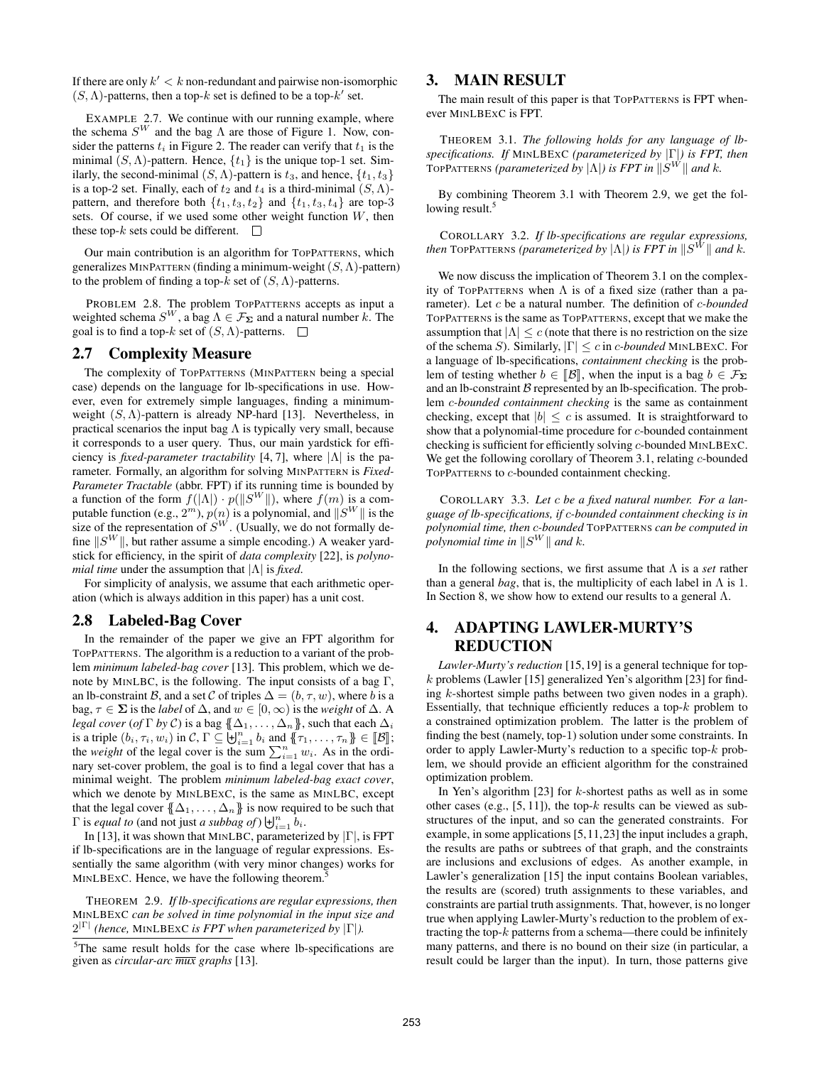If there are only  $k' < k$  non-redundant and pairwise non-isomorphic  $(S, \Lambda)$ -patterns, then a top- $k$  set is defined to be a top- $k'$  set.

EXAMPLE 2.7. We continue with our running example, where the schema  $S^{W}$  and the bag  $\Lambda$  are those of Figure 1. Now, consider the patterns  $t_i$  in Figure 2. The reader can verify that  $t_1$  is the minimal  $(S, \Lambda)$ -pattern. Hence,  $\{t_1\}$  is the unique top-1 set. Similarly, the second-minimal  $(S, \Lambda)$ -pattern is  $t_3$ , and hence,  $\{t_1, t_3\}$ is a top-2 set. Finally, each of  $t_2$  and  $t_4$  is a third-minimal  $(S, \Lambda)$ pattern, and therefore both  $\{t_1, t_3, t_2\}$  and  $\{t_1, t_3, t_4\}$  are top-3 sets. Of course, if we used some other weight function  $W$ , then these top- $k$  sets could be different.  $\Box$ 

Our main contribution is an algorithm for TOPPATTERNS, which generalizes MINPATTERN (finding a minimum-weight  $(S, \Lambda)$ -pattern) to the problem of finding a top- $k$  set of  $(S, \Lambda)$ -patterns.

PROBLEM 2.8. The problem TOPPATTERNS accepts as input a weighted schema  $S^{W}$ , a bag  $\Lambda \in \mathcal{F}_{\Sigma}$  and a natural number k. The goal is to find a top- $k$  set of  $(S, \Lambda)$ -patterns.  $\square$ 

# 2.7 Complexity Measure

The complexity of TOPPATTERNS (MINPATTERN being a special case) depends on the language for lb-specifications in use. However, even for extremely simple languages, finding a minimumweight  $(S, \Lambda)$ -pattern is already NP-hard [13]. Nevertheless, in practical scenarios the input bag  $\Lambda$  is typically very small, because it corresponds to a user query. Thus, our main yardstick for efficiency is *fixed-parameter tractability* [4, 7], where |Λ| is the parameter. Formally, an algorithm for solving MINPATTERN is *Fixed-Parameter Tractable* (abbr. FPT) if its running time is bounded by a function of the form  $f(|\Lambda|) \cdot p(||S^W||)$ , where  $f(m)$  is a computable function (e.g.,  $2^m$ ),  $p(n)$  is a polynomial, and  $||S^W||$  is the size of the representation of  $S^W$ . (Usually, we do not formally define  $||S^W||$ , but rather assume a simple encoding.) A weaker yardstick for efficiency, in the spirit of *data complexity* [22], is *polynomial time* under the assumption that |Λ| is *fixed*.

For simplicity of analysis, we assume that each arithmetic operation (which is always addition in this paper) has a unit cost.

#### 2.8 Labeled-Bag Cover

In the remainder of the paper we give an FPT algorithm for TOPPATTERNS. The algorithm is a reduction to a variant of the problem *minimum labeled-bag cover* [13]. This problem, which we denote by MINLBC, is the following. The input consists of a bag  $\Gamma$ , an lb-constraint B, and a set C of triples  $\Delta = (b, \tau, w)$ , where b is a bag,  $\tau \in \Sigma$  is the *label* of  $\Delta$ , and  $w \in [0, \infty)$  is the *weight* of  $\Delta$ . A *legal cover* (*of*  $\Gamma$  *by*  $C$ ) is a bag  $\{\! \{\Delta_1, \ldots, \Delta_n\} \! \}$ , such that each  $\Delta_i$ is a triple  $(b_i, \tau_i, w_i)$  in C,  $\Gamma \subseteq \biguplus_{i=1}^n b_i$  and  $\{\tau_1, \ldots, \tau_n\} \in [\![\mathcal{B}]\!]$ ;<br>the weight of the legal cover is the sum  $\sum_{i=1}^n w_i$ . As in the ordithe *weight* of the legal cover is the sum  $\sum_{i=1}^{n} w_i$ . As in the ordinary set-cover problem, the goal is to find a legal cover that has a minimal weight. The problem *minimum labeled-bag exact cover*, which we denote by MINLBEXC, is the same as MINLBC, except that the legal cover  $\{\!\{\Delta_1,\ldots,\Delta_n\}\!\}$  is now required to be such that  $\Gamma$  is *equal to* (and not just *a subbag of*)  $\biguplus_{i=1}^{n} b_i$ .

In [13], it was shown that MINLBC, parameterized by  $|\Gamma|$ , is FPT if lb-specifications are in the language of regular expressions. Essentially the same algorithm (with very minor changes) works for MINLBEXC. Hence, we have the following theorem.<sup>5</sup>

THEOREM 2.9. *If lb-specifications are regular expressions, then* MINLBEXC *can be solved in time polynomial in the input size and*  $2^{|\Gamma|}$  (hence, MINLBEXC *is FPT when parameterized by*  $|\Gamma|$ ).

<sup>5</sup>The same result holds for the case where lb-specifications are given as *circular-arc mux graphs* [13].

## 3. MAIN RESULT

The main result of this paper is that TOPPATTERNS is FPT whenever MINLBEXC is FPT.

THEOREM 3.1. *The following holds for any language of lbspecifications. If* MINLBEXC *(parameterized by* |Γ|*) is FPT, then* TOPPATTERNS (parameterized by  $|Λ|$ ) is FPT in  $||S^W||$  and  $k$ .

By combining Theorem 3.1 with Theorem 2.9, we get the following result.<sup>5</sup>

COROLLARY 3.2. *If lb-specifications are regular expressions, then* TOPPATTERNS (parameterized by  $|\Lambda|$ ) is FPT in  $\|S^{\tilde{W}}\|$  and k.

We now discuss the implication of Theorem 3.1 on the complexity of TOPPATTERNS when  $\Lambda$  is of a fixed size (rather than a parameter). Let c be a natural number. The definition of c*-bounded* TOPPATTERNS is the same as TOPPATTERNS, except that we make the assumption that  $|\Lambda| \leq c$  (note that there is no restriction on the size of the schema S). Similarly, |Γ| ≤ c in c*-bounded* MINLBEXC. For a language of lb-specifications, *containment checking* is the problem of testing whether  $b \in \mathcal{B}$ , when the input is a bag  $b \in \mathcal{F}_{\Sigma}$ and an lb-constraint  $\beta$  represented by an lb-specification. The problem c*-bounded containment checking* is the same as containment checking, except that  $|b| \leq c$  is assumed. It is straightforward to show that a polynomial-time procedure for c-bounded containment checking is sufficient for efficiently solving c-bounded MINLBEXC. We get the following corollary of Theorem 3.1, relating c-bounded TOPPATTERNS to c-bounded containment checking.

COROLLARY 3.3. *Let* c *be a fixed natural number. For a language of lb-specifications, if* c*-bounded containment checking is in polynomial time, then* c*-bounded* TOPPATTERNS *can be computed in polynomial time in*  $\|S^W\|$  *and k.* 

In the following sections, we first assume that Λ is a *set* rather than a general *bag*, that is, the multiplicity of each label in  $\Lambda$  is 1. In Section 8, we show how to extend our results to a general  $\Lambda$ .

# 4. ADAPTING LAWLER-MURTY'S REDUCTION

*Lawler-Murty's reduction* [15, 19] is a general technique for topk problems (Lawler [15] generalized Yen's algorithm [23] for finding k-shortest simple paths between two given nodes in a graph). Essentially, that technique efficiently reduces a top- $k$  problem to a constrained optimization problem. The latter is the problem of finding the best (namely, top-1) solution under some constraints. In order to apply Lawler-Murty's reduction to a specific top-k problem, we should provide an efficient algorithm for the constrained optimization problem.

In Yen's algorithm  $[23]$  for k-shortest paths as well as in some other cases (e.g.,  $[5, 11]$ ), the top- $k$  results can be viewed as substructures of the input, and so can the generated constraints. For example, in some applications [5,11,23] the input includes a graph, the results are paths or subtrees of that graph, and the constraints are inclusions and exclusions of edges. As another example, in Lawler's generalization [15] the input contains Boolean variables, the results are (scored) truth assignments to these variables, and constraints are partial truth assignments. That, however, is no longer true when applying Lawler-Murty's reduction to the problem of extracting the top- $k$  patterns from a schema—there could be infinitely many patterns, and there is no bound on their size (in particular, a result could be larger than the input). In turn, those patterns give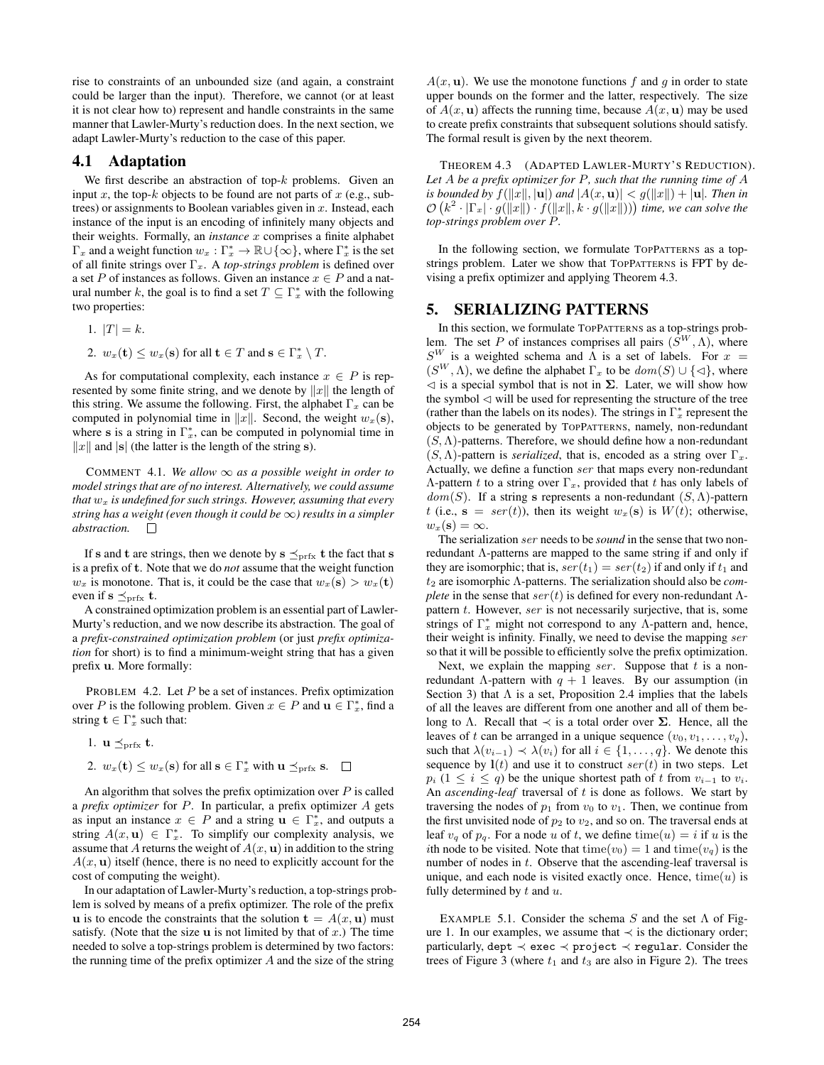rise to constraints of an unbounded size (and again, a constraint could be larger than the input). Therefore, we cannot (or at least it is not clear how to) represent and handle constraints in the same manner that Lawler-Murty's reduction does. In the next section, we adapt Lawler-Murty's reduction to the case of this paper.

#### 4.1 Adaptation

We first describe an abstraction of top- $k$  problems. Given an input x, the top-k objects to be found are not parts of  $x$  (e.g., subtrees) or assignments to Boolean variables given in  $x$ . Instead, each instance of the input is an encoding of infinitely many objects and their weights. Formally, an *instance* x comprises a finite alphabet  $\Gamma_x$  and a weight function  $w_x : \Gamma_x^* \to \mathbb{R} \cup {\infty}$ , where  $\Gamma_x^*$  is the set of all finite strings over Γ<sub>x</sub>. A *top-strings problem* is defined over a set P of instances as follows. Given an instance  $x \in P$  and a natural number k, the goal is to find a set  $T \subseteq \Gamma_x^*$  with the following two properties:

- 1.  $|T| = k$ .
- 2.  $w_x(\mathbf{t}) \leq w_x(\mathbf{s})$  for all  $\mathbf{t} \in T$  and  $\mathbf{s} \in \Gamma_x^* \setminus T$ .

As for computational complexity, each instance  $x \in P$  is represented by some finite string, and we denote by  $||x||$  the length of this string. We assume the following. First, the alphabet  $\Gamma_x$  can be computed in polynomial time in  $||x||$ . Second, the weight  $w_x(\mathbf{s})$ , where s is a string in  $\Gamma_x^*$ , can be computed in polynomial time in  $||x||$  and  $|s|$  (the latter is the length of the string s).

COMMENT 4.1. We allow  $\infty$  as a possible weight in order to *model strings that are of no interest. Alternatively, we could assume that*  $w_x$  *is undefined for such strings. However, assuming that every string has a weight (even though it could be* ∞*) results in a simpler abstraction.*

If s and t are strings, then we denote by  $s \leq_{prfx} t$  the fact that s is a prefix of t. Note that we do *not* assume that the weight function  $w_x$  is monotone. That is, it could be the case that  $w_x(\mathbf{s}) > w_x(\mathbf{t})$ even if  $s \preceq_{\text{prfx}} t$ .

A constrained optimization problem is an essential part of Lawler-Murty's reduction, and we now describe its abstraction. The goal of a *prefix-constrained optimization problem* (or just *prefix optimization* for short) is to find a minimum-weight string that has a given prefix u. More formally:

PROBLEM 4.2. Let  $P$  be a set of instances. Prefix optimization over P is the following problem. Given  $x \in P$  and  $\mathbf{u} \in \Gamma_x^*$ , find a string  $\mathbf{t} \in \Gamma_x^*$  such that:

- 1.  $\mathbf{u} \preceq_{\text{prfx}} \mathbf{t}$ .
- 2.  $w_x(\mathbf{t}) \leq w_x(\mathbf{s})$  for all  $\mathbf{s} \in \Gamma_x^*$  with  $\mathbf{u} \preceq_{\text{prfx}} \mathbf{s}$ .

An algorithm that solves the prefix optimization over  $P$  is called a *prefix optimizer* for P. In particular, a prefix optimizer A gets as input an instance  $x \in P$  and a string  $\mathbf{u} \in \Gamma_x^*$ , and outputs a string  $A(x, u) \in \Gamma_x^*$ . To simplify our complexity analysis, we assume that A returns the weight of  $A(x, u)$  in addition to the string  $A(x, u)$  itself (hence, there is no need to explicitly account for the cost of computing the weight).

In our adaptation of Lawler-Murty's reduction, a top-strings problem is solved by means of a prefix optimizer. The role of the prefix u is to encode the constraints that the solution  $\mathbf{t} = A(x, \mathbf{u})$  must satisfy. (Note that the size  $\bf{u}$  is not limited by that of  $x$ .) The time needed to solve a top-strings problem is determined by two factors: the running time of the prefix optimizer  $A$  and the size of the string

 $A(x, u)$ . We use the monotone functions f and q in order to state upper bounds on the former and the latter, respectively. The size of  $A(x, u)$  affects the running time, because  $A(x, u)$  may be used to create prefix constraints that subsequent solutions should satisfy. The formal result is given by the next theorem.

THEOREM 4.3 (ADAPTED LAWLER-MURTY'S REDUCTION). *Let* A *be a prefix optimizer for* P*, such that the running time of* A *is bounded by*  $f(||x||, |u|)$  *and*  $|A(x, u)| < g(||x||) + |u|$ *. Then in*  $\mathcal{O}\left(k^2\cdot\left|\Gamma_x\right|\cdot g(\left\|x\right\|)\cdot f(\left\|x\right\|,k\cdot g(\left\|x\right\|))\right)$  time, we can solve the *top-strings problem over* P*.*

In the following section, we formulate TOPPATTERNS as a topstrings problem. Later we show that TOPPATTERNS is FPT by devising a prefix optimizer and applying Theorem 4.3.

# 5. SERIALIZING PATTERNS

In this section, we formulate TOPPATTERNS as a top-strings problem. The set P of instances comprises all pairs  $(S^W, \Lambda)$ , where  $S^{W}$  is a weighted schema and  $\overline{\Lambda}$  is a set of labels. For  $x =$  $(S^{W}, \Lambda)$ , we define the alphabet  $\Gamma_x$  to be  $dom(S) \cup \{\lhd\}$ , where  $\leq$  is a special symbol that is not in  $\Sigma$ . Later, we will show how the symbol  $\triangleleft$  will be used for representing the structure of the tree (rather than the labels on its nodes). The strings in  $\Gamma_x^*$  represent the objects to be generated by TOPPATTERNS, namely, non-redundant  $(S, \Lambda)$ -patterns. Therefore, we should define how a non-redundant  $(S, \Lambda)$ -pattern is *serialized*, that is, encoded as a string over  $\Gamma_x$ . Actually, we define a function ser that maps every non-redundant Λ-pattern t to a string over Γ<sub>x</sub>, provided that t has only labels of  $dom(S)$ . If a string s represents a non-redundant  $(S, \Lambda)$ -pattern t (i.e.,  $s = ser(t)$ ), then its weight  $w_x(s)$  is  $W(t)$ ; otherwise,  $w_x(\mathbf{s}) = \infty.$ 

The serialization ser needs to be *sound* in the sense that two nonredundant  $\Lambda$ -patterns are mapped to the same string if and only if they are isomorphic; that is,  $ser(t_1) = ser(t_2)$  if and only if  $t_1$  and t<sup>2</sup> are isomorphic Λ-patterns. The serialization should also be *complete* in the sense that  $ser(t)$  is defined for every non-redundant Λpattern  $t$ . However, ser is not necessarily surjective, that is, some strings of  $\Gamma_x^*$  might not correspond to any  $\Lambda$ -pattern and, hence, their weight is infinity. Finally, we need to devise the mapping ser so that it will be possible to efficiently solve the prefix optimization.

Next, we explain the mapping ser. Suppose that  $t$  is a nonredundant Λ-pattern with  $q + 1$  leaves. By our assumption (in Section 3) that  $\Lambda$  is a set, Proposition 2.4 implies that the labels of all the leaves are different from one another and all of them belong to Λ. Recall that  $\prec$  is a total order over  $\Sigma$ . Hence, all the leaves of t can be arranged in a unique sequence  $(v_0, v_1, \ldots, v_q)$ , such that  $\lambda(v_{i-1}) \prec \lambda(v_i)$  for all  $i \in \{1, \ldots, q\}$ . We denote this sequence by  $\mathbf{l}(t)$  and use it to construct  $ser(t)$  in two steps. Let  $p_i$  (1 ≤ i ≤ q) be the unique shortest path of t from  $v_{i-1}$  to  $v_i$ . An *ascending-leaf* traversal of t is done as follows. We start by traversing the nodes of  $p_1$  from  $v_0$  to  $v_1$ . Then, we continue from the first unvisited node of  $p_2$  to  $v_2$ , and so on. The traversal ends at leaf  $v_q$  of  $p_q$ . For a node u of t, we define time(u) = i if u is the ith node to be visited. Note that time( $v_0$ ) = 1 and time( $v_a$ ) is the number of nodes in  $t$ . Observe that the ascending-leaf traversal is unique, and each node is visited exactly once. Hence,  $time(u)$  is fully determined by  $t$  and  $u$ .

EXAMPLE 5.1. Consider the schema S and the set  $\Lambda$  of Figure 1. In our examples, we assume that  $\prec$  is the dictionary order; particularly, dept  $\prec$  exec  $\prec$  project  $\prec$  regular. Consider the trees of Figure 3 (where  $t_1$  and  $t_3$  are also in Figure 2). The trees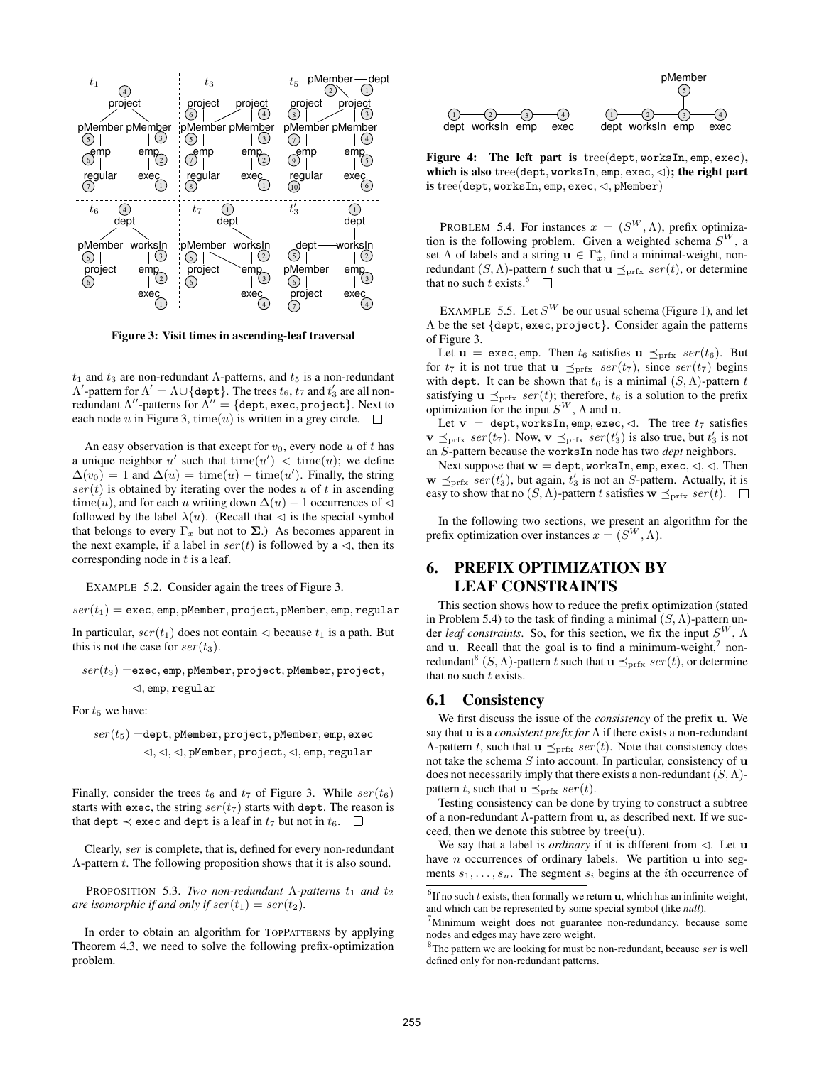

Figure 3: Visit times in ascending-leaf traversal

 $t_1$  and  $t_3$  are non-redundant Λ-patterns, and  $t_5$  is a non-redundant  $Λ'$ -pattern for  $Λ' = Λ ∪ { \text{depth} }$ . The trees  $t_6, t_7$  and  $t'_3$  are all nonredundant  $\Lambda^{\prime\prime}$ -patterns for  $\Lambda^{\prime\prime}=\{$ dept, exec, project}. Next to each node u in Figure 3, time(u) is written in a grey circle.  $\square$ 

An easy observation is that except for  $v_0$ , every node u of t has a unique neighbor u' such that  $time(u') < time(u)$ ; we define  $\Delta(v_0) = 1$  and  $\Delta(u) = \text{time}(u) - \text{time}(u')$ . Finally, the string  $ser(t)$  is obtained by iterating over the nodes u of t in ascending time(u), and for each u writing down  $\Delta(u) - 1$  occurrences of  $\triangleleft$ followed by the label  $\lambda(u)$ . (Recall that  $\triangleleft$  is the special symbol that belongs to every  $\Gamma_x$  but not to  $\Sigma$ .) As becomes apparent in the next example, if a label in  $ser(t)$  is followed by a  $\triangleleft$ , then its corresponding node in  $t$  is a leaf.

EXAMPLE 5.2. Consider again the trees of Figure 3.

 $ser(t_1) = exec, emp, pMember, project, pMember, emp, regular$ 

In particular,  $ser(t_1)$  does not contain  $\triangleleft$  because  $t_1$  is a path. But this is not the case for  $ser(t_3)$ .

$$
ser(t_3) = \mathtt{exec}, \mathtt{emp}, \mathtt{pMember}, \mathtt{project}, \mathtt{pMember}, \mathtt{project}, \newline \lhd, \mathtt{emp}, \mathtt{regular}
$$

For  $t_5$  we have:

$$
ser(t_5) = \text{dept}, \text{pMember}, \text{project}, \text{pMember}, \text{emp}, \text{exec} \\ \lhd, \lhd, \lhd, \text{pMember}, \text{project}, \lhd, \text{emp}, \text{regular}
$$

Finally, consider the trees  $t_6$  and  $t_7$  of Figure 3. While  $ser(t_6)$ starts with exec, the string  $ser(t_7)$  starts with dept. The reason is that dept  $\prec$  exec and dept is a leaf in  $t_7$  but not in  $t_6$ .  $\Box$ 

Clearly, ser is complete, that is, defined for every non-redundant  $\Lambda$ -pattern  $t$ . The following proposition shows that it is also sound.

**PROPOSITION** 5.3. *Two non-redundant*  $\Lambda$ -patterns  $t_1$  and  $t_2$ *are isomorphic if and only if*  $ser(t_1) = ser(t_2)$ *.* 

In order to obtain an algorithm for TOPPATTERNS by applying Theorem 4.3, we need to solve the following prefix-optimization problem.



Figure 4: The left part is tree(dept, worksIn, emp, exec), which is also tree(dept, worksIn, emp, exec,  $\lhd$ ); the right part is tree(dept, worksIn, emp, exec,  $\lhd$ , pMember)

PROBLEM 5.4. For instances  $x = (S^W, \Lambda)$ , prefix optimization is the following problem. Given a weighted schema  $S^{W}$ , a set  $\Lambda$  of labels and a string  $\mathbf{u} \in \Gamma_x^*$ , find a minimal-weight, nonredundant  $(S, \Lambda)$ -pattern t such that  $\mathbf{u} \preceq_{\text{prfx}} \text{ser}(t)$ , or determine that no such t exists.<sup>6</sup>  $\Box$ 

EXAMPLE 5.5. Let  $S^W$  be our usual schema (Figure 1), and let Λ be the set {dept, exec, project}. Consider again the patterns of Figure 3.

Let  $\mathbf{u} = \texttt{exec}, \texttt{emp}$ . Then  $t_6$  satisfies  $\mathbf{u} \preceq_{\text{prfx}} \text{ser}(t_6)$ . But for  $t_7$  it is not true that  $\mathbf{u} \preceq_{\text{prfx}} \text{ser}(t_7)$ , since  $\text{ser}(t_7)$  begins with dept. It can be shown that  $t_6$  is a minimal  $(S, \Lambda)$ -pattern t satisfying  $\mathbf{u} \preceq_{\text{prfx}} \text{ser}(t)$ ; therefore,  $t_6$  is a solution to the prefix optimization for the input  $S^{W}$ ,  $\Lambda$  and **u**.

Let  $\mathbf{v} = \text{depth}, \text{worksIn}, \text{emp}, \text{exec}, \lhd.$  The tree  $t_7$  satisfies  $\mathbf{v} \preceq_{\text{prfx}} \text{ser}(t_7)$ . Now,  $\mathbf{v} \preceq_{\text{prfx}} \text{ser}(t_3')$  is also true, but  $t_3'$  is not an S-pattern because the worksIn node has two *dept* neighbors.

Next suppose that  $w =$  dept, worksIn, emp, exec,  $\triangleleft$ ,  $\triangleleft$ . Then  $\mathbf{w} \preceq_{\text{prfx}} \text{ser}(t_3')$ , but again,  $t_3'$  is not an S-pattern. Actually, it is easy to show that no  $(S, \Lambda)$ -pattern t satisfies  $\mathbf{w} \preceq_{\text{prfx}} \text{ser}(t)$ .  $\square$ 

In the following two sections, we present an algorithm for the prefix optimization over instances  $x = (S^W, \Lambda)$ .

# 6. PREFIX OPTIMIZATION BY LEAF CONSTRAINTS

This section shows how to reduce the prefix optimization (stated in Problem 5.4) to the task of finding a minimal  $(S, \Lambda)$ -pattern under *leaf constraints*. So, for this section, we fix the input  $S^W$ ,  $\Lambda$ and  $\mathbf{u}$ . Recall that the goal is to find a minimum-weight,<sup>7</sup> nonredundant<sup>8</sup> (S,  $\Lambda$ )-pattern t such that  $\mathbf{u} \preceq_{\text{prfx}} ser(t)$ , or determine that no such  $t$  exists.

## 6.1 Consistency

We first discuss the issue of the *consistency* of the prefix u. We say that u is a *consistent prefix for* Λ if there exists a non-redundant Λ-pattern t, such that  $\mathbf{u} \preceq_{\text{prfx}} \text{ser}(t)$ . Note that consistency does not take the schema  $S$  into account. In particular, consistency of  $\bf{u}$ does not necessarily imply that there exists a non-redundant  $(S, \Lambda)$ pattern t, such that  $\mathbf{u} \preceq_{\text{prfx}} \text{ser}(t)$ .

Testing consistency can be done by trying to construct a subtree of a non-redundant Λ-pattern from u, as described next. If we succeed, then we denote this subtree by  $tree(u)$ .

We say that a label is *ordinary* if it is different from  $\triangleleft$ . Let **u** have  $n$  occurrences of ordinary labels. We partition  $u$  into segments  $s_1, \ldots, s_n$ . The segment  $s_i$  begins at the *i*th occurrence of

 $^{6}$ If no such t exists, then formally we return **u**, which has an infinite weight, and which can be represented by some special symbol (like *null*).  $7$ Minimum weight does not guarantee non-redundancy, because some

nodes and edges may have zero weight.

 $8$ The pattern we are looking for must be non-redundant, because  $ser$  is well defined only for non-redundant patterns.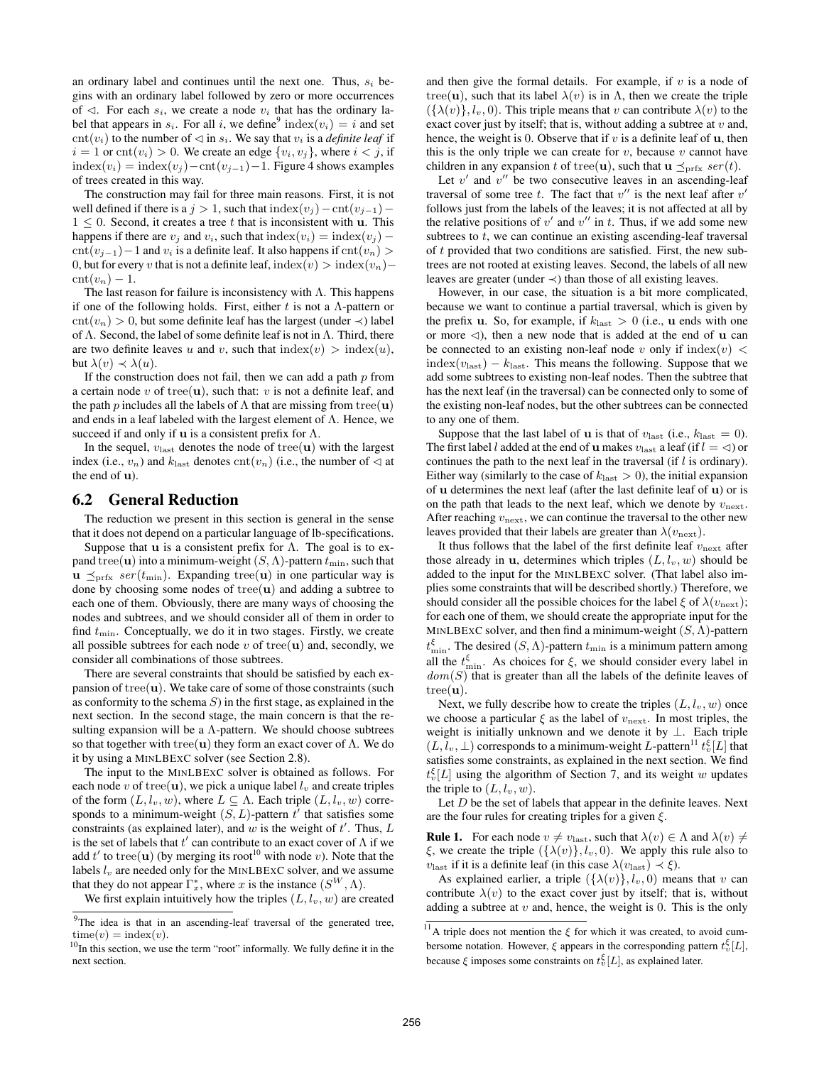an ordinary label and continues until the next one. Thus,  $s_i$  begins with an ordinary label followed by zero or more occurrences of  $\triangleleft$ . For each  $s_i$ , we create a node  $v_i$  that has the ordinary label that appears in  $s_i$ . For all i, we define<sup>9</sup> index $(v_i) = i$  and set cnt( $v_i$ ) to the number of  $\triangleleft$  in  $s_i$ . We say that  $v_i$  is a *definite leaf* if  $i = 1$  or  $\text{cnt}(v_i) > 0$ . We create an edge  $\{v_i, v_j\}$ , where  $i < j$ , if  $index(v_i) = index(v_i) - cnt(v_{i-1}) - 1$ . Figure 4 shows examples of trees created in this way.

The construction may fail for three main reasons. First, it is not well defined if there is a  $j > 1$ , such that  $index(v_j) - \text{cnt}(v_{j-1}) 1 \leq 0$ . Second, it creates a tree t that is inconsistent with **u**. This happens if there are  $v_j$  and  $v_i$ , such that  $index(v_i) = index(v_j) \text{cnt}(v_{i-1})-1$  and  $v_i$  is a definite leaf. It also happens if  $\text{cnt}(v_n)$ 0, but for every v that is not a definite leaf, index $(v)$  > index $(v_n)$ −  $\mathrm{cnt}(v_n) - 1.$ 

The last reason for failure is inconsistency with  $\Lambda$ . This happens if one of the following holds. First, either t is not a  $\Lambda$ -pattern or  $\text{cnt}(v_n) > 0$ , but some definite leaf has the largest (under  $\prec$ ) label of  $\Lambda$ . Second, the label of some definite leaf is not in  $\Lambda$ . Third, there are two definite leaves u and v, such that  $index(v) > index(u)$ , but  $\lambda(v) \prec \lambda(u)$ .

If the construction does not fail, then we can add a path  $p$  from a certain node v of tree(u), such that: v is not a definite leaf, and the path p includes all the labels of  $\Lambda$  that are missing from tree(u) and ends in a leaf labeled with the largest element of  $\Lambda$ . Hence, we succeed if and only if **u** is a consistent prefix for  $\Lambda$ .

In the sequel,  $v_{\text{last}}$  denotes the node of tree(u) with the largest index (i.e.,  $v_n$ ) and  $k_{\text{last}}$  denotes  $\text{cnt}(v_n)$  (i.e., the number of  $\triangleleft$  at the end of u).

#### 6.2 General Reduction

The reduction we present in this section is general in the sense that it does not depend on a particular language of lb-specifications.

Suppose that **u** is a consistent prefix for  $\Lambda$ . The goal is to expand tree(u) into a minimum-weight  $(S, \Lambda)$ -pattern  $t_{\min}$ , such that  $u \leq_{\text{prfx}} \text{ser}(t_{\text{min}})$ . Expanding tree(u) in one particular way is done by choosing some nodes of tree( $u$ ) and adding a subtree to each one of them. Obviously, there are many ways of choosing the nodes and subtrees, and we should consider all of them in order to find  $t_{\min}$ . Conceptually, we do it in two stages. Firstly, we create all possible subtrees for each node  $v$  of tree(u) and, secondly, we consider all combinations of those subtrees.

There are several constraints that should be satisfied by each expansion of  $tree(u)$ . We take care of some of those constraints (such as conformity to the schema  $S$ ) in the first stage, as explained in the next section. In the second stage, the main concern is that the resulting expansion will be a  $\Lambda$ -pattern. We should choose subtrees so that together with tree(u) they form an exact cover of  $\Lambda$ . We do it by using a MINLBEXC solver (see Section 2.8).

The input to the MINLBEXC solver is obtained as follows. For each node v of tree(**u**), we pick a unique label  $l_v$  and create triples of the form  $(L, l_v, w)$ , where  $L \subseteq \Lambda$ . Each triple  $(L, l_v, w)$  corresponds to a minimum-weight  $(S, L)$ -pattern  $t^{\prime}$  that satisfies some constraints (as explained later), and  $w$  is the weight of  $t'$ . Thus,  $L$ is the set of labels that  $t'$  can contribute to an exact cover of  $\Lambda$  if we add  $t'$  to tree(**u**) (by merging its root<sup>10</sup> with node *v*). Note that the labels  $l_v$  are needed only for the MINLBEXC solver, and we assume that they do not appear  $\Gamma_x^*$ , where x is the instance  $(S^W, \Lambda)$ .

We first explain intuitively how the triples  $(L, l_v, w)$  are created

and then give the formal details. For example, if  $v$  is a node of tree(u), such that its label  $\lambda(v)$  is in  $\Lambda$ , then we create the triple  $({\lambda}(v), l_v, 0)$ . This triple means that v can contribute  $\lambda(v)$  to the exact cover just by itself; that is, without adding a subtree at  $v$  and, hence, the weight is 0. Observe that if  $v$  is a definite leaf of  $u$ , then this is the only triple we can create for  $v$ , because  $v$  cannot have children in any expansion t of tree(**u**), such that  $\mathbf{u} \preceq_{\text{prfx}} \text{ser}(t)$ .

Let  $v'$  and  $v''$  be two consecutive leaves in an ascending-leaf traversal of some tree t. The fact that  $v''$  is the next leaf after  $v'$ follows just from the labels of the leaves; it is not affected at all by the relative positions of  $v'$  and  $v''$  in t. Thus, if we add some new subtrees to  $t$ , we can continue an existing ascending-leaf traversal of t provided that two conditions are satisfied. First, the new subtrees are not rooted at existing leaves. Second, the labels of all new leaves are greater (under  $\prec$ ) than those of all existing leaves.

However, in our case, the situation is a bit more complicated, because we want to continue a partial traversal, which is given by the prefix **u**. So, for example, if  $k_{\text{last}} > 0$  (i.e., **u** ends with one or more  $\triangleleft$ ), then a new node that is added at the end of u can be connected to an existing non-leaf node v only if  $index(v)$  <  $index(v<sub>last</sub>) - k<sub>last</sub>$ . This means the following. Suppose that we add some subtrees to existing non-leaf nodes. Then the subtree that has the next leaf (in the traversal) can be connected only to some of the existing non-leaf nodes, but the other subtrees can be connected to any one of them.

Suppose that the last label of **u** is that of  $v_{\text{last}}$  (i.e.,  $k_{\text{last}} = 0$ ). The first label l added at the end of **u** makes  $v_{\text{last}}$  a leaf (if  $l = \triangleleft$ ) or continues the path to the next leaf in the traversal (if l is ordinary). Either way (similarly to the case of  $k_{\text{last}} > 0$ ), the initial expansion of u determines the next leaf (after the last definite leaf of u) or is on the path that leads to the next leaf, which we denote by  $v_{\text{next}}$ . After reaching  $v_{\text{next}}$ , we can continue the traversal to the other new leaves provided that their labels are greater than  $\lambda(v_{\text{next}})$ .

It thus follows that the label of the first definite leaf  $v_{\text{next}}$  after those already in **u**, determines which triples  $(L, l_v, w)$  should be added to the input for the MINLBEXC solver. (That label also implies some constraints that will be described shortly.) Therefore, we should consider all the possible choices for the label  $\xi$  of  $\lambda(v_{\text{next}})$ ; for each one of them, we should create the appropriate input for the MINLBEXC solver, and then find a minimum-weight  $(S, \Lambda)$ -pattern  $t_{\min}^{\xi}$ . The desired  $(S, \Lambda)$ -pattern  $t_{\min}$  is a minimum pattern among all the  $t_{\min}^{\xi}$ . As choices for  $\xi$ , we should consider every label in  $dom(S)$  that is greater than all the labels of the definite leaves of  $tree(\mathbf{u}).$ 

Next, we fully describe how to create the triples  $(L, l_v, w)$  once we choose a particular  $\xi$  as the label of  $v_{\text{next}}$ . In most triples, the weight is initially unknown and we denote it by ⊥. Each triple  $(L, l_v, \perp)$  corresponds to a minimum-weight L-pattern<sup>11</sup>  $t_v^{\xi}[L]$  that satisfies some constraints, as explained in the next section. We find  $t_v^{\xi}[L]$  using the algorithm of Section 7, and its weight w updates the triple to  $(L, l_v, w)$ .

Let  $D$  be the set of labels that appear in the definite leaves. Next are the four rules for creating triples for a given  $\xi$ .

**Rule 1.** For each node  $v \neq v_{\text{last}}$ , such that  $\lambda(v) \in \Lambda$  and  $\lambda(v) \neq$ ξ, we create the triple  $({\lambda(v)}, l_v, 0)$ . We apply this rule also to  $v_{\text{last}}$  if it is a definite leaf (in this case  $\lambda(v_{\text{last}}) \prec \xi$ ).

As explained earlier, a triple  $({\lambda(v)}, l_v, 0)$  means that v can contribute  $\lambda(v)$  to the exact cover just by itself; that is, without adding a subtree at  $v$  and, hence, the weight is 0. This is the only

<sup>&</sup>lt;sup>9</sup>The idea is that in an ascending-leaf traversal of the generated tree,  $time(v) = index(v).$ 

 $10$ In this section, we use the term "root" informally. We fully define it in the next section.

<sup>&</sup>lt;sup>11</sup>A triple does not mention the  $\xi$  for which it was created, to avoid cumbersome notation. However,  $\xi$  appears in the corresponding pattern  $t_v^{\xi}[L]$ , because  $\xi$  imposes some constraints on  $t_v^{\xi}[L]$ , as explained later.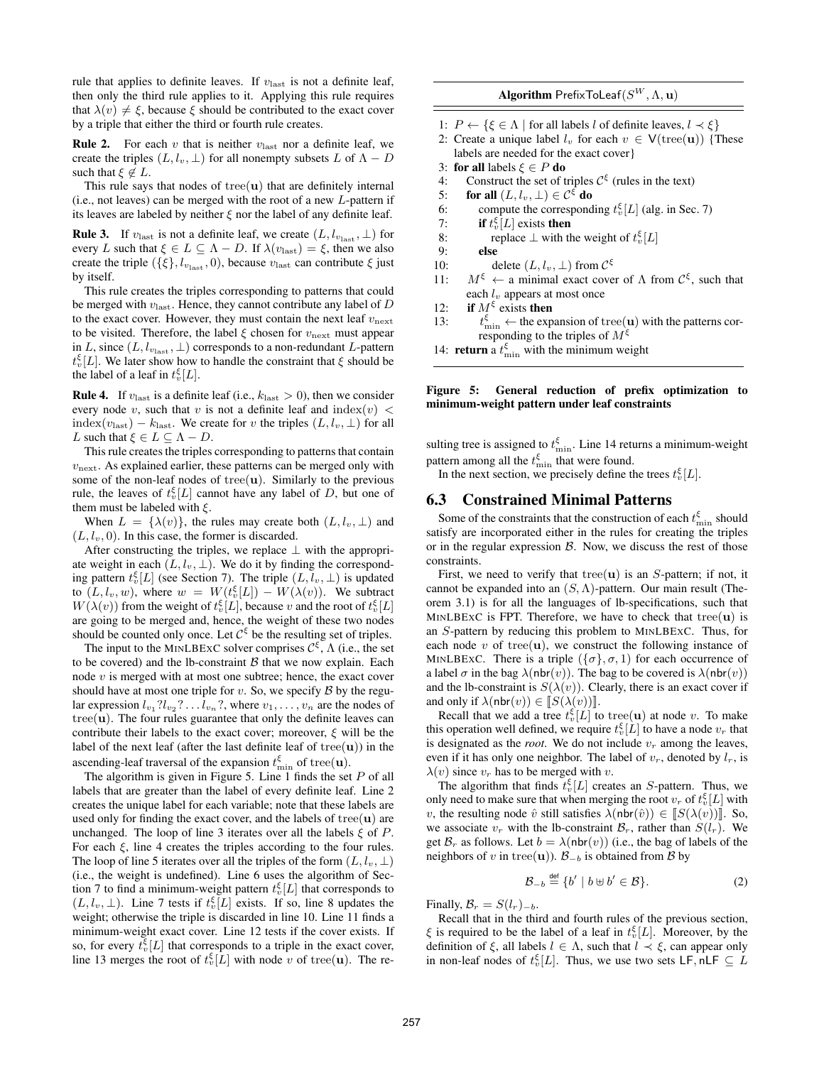rule that applies to definite leaves. If  $v_{\text{last}}$  is not a definite leaf, then only the third rule applies to it. Applying this rule requires that  $\lambda(v) \neq \xi$ , because  $\xi$  should be contributed to the exact cover by a triple that either the third or fourth rule creates.

**Rule 2.** For each v that is neither  $v_{\text{last}}$  nor a definite leaf, we create the triples  $(L, l_v, \perp)$  for all nonempty subsets L of  $\Lambda - D$ such that  $\xi \notin L$ .

This rule says that nodes of tree( $\mathbf{u}$ ) that are definitely internal (i.e., not leaves) can be merged with the root of a new  $L$ -pattern if its leaves are labeled by neither  $\xi$  nor the label of any definite leaf.

**Rule 3.** If  $v_{\text{last}}$  is not a definite leaf, we create  $(L, l_{v_{\text{last}}}, \perp)$  for every L such that  $\xi \in L \subseteq \Lambda - D$ . If  $\lambda(v_{\text{last}}) = \xi$ , then we also create the triple ({ $\xi$ },  $l_{v_{\text{last}}}$ , 0), because  $v_{\text{last}}$  can contribute  $\xi$  just by itself.

This rule creates the triples corresponding to patterns that could be merged with  $v_{\text{last}}$ . Hence, they cannot contribute any label of  $D$ to the exact cover. However, they must contain the next leaf  $v_{\text{next}}$ to be visited. Therefore, the label  $\xi$  chosen for  $v_{\text{next}}$  must appear in L, since  $(L, l_{v_{\text{last}}}, \perp)$  corresponds to a non-redundant L-pattern  $t_v^{\xi}[L]$ . We later show how to handle the constraint that  $\xi$  should be the label of a leaf in  $t_v^{\xi}[L]$ .

**Rule 4.** If  $v_{\text{last}}$  is a definite leaf (i.e.,  $k_{\text{last}} > 0$ ), then we consider every node v, such that v is not a definite leaf and  $index(v)$  < index( $v_{\text{last}}$ ) –  $k_{\text{last}}$ . We create for v the triples  $(L, l_v, \perp)$  for all L such that  $\xi \in L \subseteq \Lambda - D$ .

This rule creates the triples corresponding to patterns that contain  $v_{\text{next}}$ . As explained earlier, these patterns can be merged only with some of the non-leaf nodes of tree( $u$ ). Similarly to the previous rule, the leaves of  $t_v^{\xi}[L]$  cannot have any label of D, but one of them must be labeled with  $\xi$ .

When  $L = {\lambda(v)}$ , the rules may create both  $(L, l_v, \perp)$  and  $(L, l_v, 0)$ . In this case, the former is discarded.

After constructing the triples, we replace  $\perp$  with the appropriate weight in each  $(L, l_v, \perp)$ . We do it by finding the corresponding pattern  $t_v^{\xi}[L]$  (see Section 7). The triple  $(L, l_v, \perp)$  is updated to  $(L, l_v, w)$ , where  $w = W(t_v^{\xi}[L]) - W(\lambda(v))$ . We subtract  $W(\lambda(v))$  from the weight of  $t_v^{\xi}[L]$ , because v and the root of  $t_v^{\xi}[L]$ are going to be merged and, hence, the weight of these two nodes should be counted only once. Let  $C^{\xi}$  be the resulting set of triples.

The input to the MINLBEXC solver comprises  $\mathcal{C}^{\xi}$ ,  $\Lambda$  (i.e., the set to be covered) and the lb-constraint  $\beta$  that we now explain. Each node  $v$  is merged with at most one subtree; hence, the exact cover should have at most one triple for  $v$ . So, we specify  $\beta$  by the regular expression  $l_{v_1} ? l_{v_2} ? \dots l_{v_n} ?$ , where  $v_1, \dots, v_n$  are the nodes of  $tree(u)$ . The four rules guarantee that only the definite leaves can contribute their labels to the exact cover; moreover,  $\xi$  will be the label of the next leaf (after the last definite leaf of tree( $\mathbf{u}$ )) in the ascending-leaf traversal of the expansion  $t_{\min}^{\xi}$  of tree(**u**).

The algorithm is given in Figure 5. Line 1 finds the set  $P$  of all labels that are greater than the label of every definite leaf. Line 2 creates the unique label for each variable; note that these labels are used only for finding the exact cover, and the labels of tree( $u$ ) are unchanged. The loop of line 3 iterates over all the labels  $\xi$  of P. For each  $\xi$ , line 4 creates the triples according to the four rules. The loop of line 5 iterates over all the triples of the form  $(L, l_v, \perp)$ (i.e., the weight is undefined). Line 6 uses the algorithm of Section 7 to find a minimum-weight pattern  $t^{\xi}_v[L]$  that corresponds to  $(L, l_v, \perp)$ . Line 7 tests if  $t_v^{\xi}[L]$  exists. If so, line 8 updates the weight; otherwise the triple is discarded in line 10. Line 11 finds a minimum-weight exact cover. Line 12 tests if the cover exists. If so, for every  $t_v^{\xi}[L]$  that corresponds to a triple in the exact cover, line 13 merges the root of  $t_v^{\xi}$ [L] with node v of tree(**u**). The re ${\bf Algorithm}$   $\mathsf{PrefixToLeaf}(S^W, \Lambda, \mathbf{u})$ 

- 1:  $P \leftarrow \{\xi \in \Lambda \mid \text{for all labels } l \text{ of definite leaves, } l \prec \xi\}$
- 2: Create a unique label  $l_v$  for each  $v \in V(\text{tree}(\mathbf{u}))$  {These labels are needed for the exact cover}
- 3: for all labels  $\xi \in P$  do
- 4: Construct the set of triples  $C^{\xi}$  (rules in the text)
- 5: for all  $(L,l_v,\perp)\in\mathcal{C}^\xi$  do
- 6: compute the corresponding  $t_v^{\xi}[L]$  (alg. in Sec. 7)
- 7: if  $t_v^{\xi}[L]$  exists then
- 8: replace  $\perp$  with the weight of  $t_v^{\xi}[L]$ 9: else
- 
- 10: delete  $(L, l_v, \perp)$  from  $C^{\xi}$
- 11:  $M^{\xi} \leftarrow$  a minimal exact cover of  $\Lambda$  from  $\mathcal{C}^{\xi}$ , such that each  $l_v$  appears at most once
- 12: if  $M^{\xi}$  exists then
- $13:$  $\frac{\xi}{\min}$   $\leftarrow$  the expansion of tree(**u**) with the patterns corresponding to the triples of  $M^{\xi}$

14: **return** a  $t_{\min}^{\xi}$  with the minimum weight

Figure 5: General reduction of prefix optimization to minimum-weight pattern under leaf constraints

sulting tree is assigned to  $t_{\min}^{\xi}$ . Line 14 returns a minimum-weight pattern among all the  $t_{\min}^{\xi}$  that were found.

In the next section, we precisely define the trees  $t_{v}^{\xi}[L]$ .

## 6.3 Constrained Minimal Patterns

Some of the constraints that the construction of each  $t_{\min}^{\xi}$  should satisfy are incorporated either in the rules for creating the triples or in the regular expression  $\beta$ . Now, we discuss the rest of those constraints.

First, we need to verify that tree( $\mathbf{u}$ ) is an S-pattern; if not, it cannot be expanded into an  $(S, \Lambda)$ -pattern. Our main result (Theorem 3.1) is for all the languages of lb-specifications, such that MINLBEXC is FPT. Therefore, we have to check that  $tree(u)$  is an S-pattern by reducing this problem to MINLBEXC. Thus, for each node v of tree( $\mathbf{u}$ ), we construct the following instance of MINLBEXC. There is a triple  $({\{\sigma\}}, \sigma, 1)$  for each occurrence of a label  $\sigma$  in the bag  $\lambda$ (nbr(v)). The bag to be covered is  $\lambda$ (nbr(v)) and the lb-constraint is  $S(\lambda(v))$ . Clearly, there is an exact cover if and only if  $\lambda$ (nbr(v))  $\in$   $\llbracket S(\lambda(v)) \rrbracket$ .

Recall that we add a tree  $t_v^{\xi}[L]$  to tree(**u**) at node v. To make this operation well defined, we require  $t_v^{\xi}[L]$  to have a node  $v_r$  that is designated as the *root*. We do not include  $v_r$  among the leaves, even if it has only one neighbor. The label of  $v_r$ , denoted by  $l_r$ , is  $\lambda(v)$  since  $v_r$  has to be merged with v.

The algorithm that finds  $t_v^{\xi}[L]$  creates an S-pattern. Thus, we only need to make sure that when merging the root  $v_r$  of  $t_v^{\xi}[L]$  with v, the resulting node  $\hat{v}$  still satisfies  $\lambda(\text{nbr}(\hat{v})) \in [S(\lambda(v))]$ . So, we associate  $v_r$  with the lb-constraint  $\mathcal{B}_r$ , rather than  $S(l_r)$ . We get  $\mathcal{B}_r$  as follows. Let  $b = \lambda(\text{nbr}(v))$  (i.e., the bag of labels of the neighbors of v in tree(u)).  $\mathcal{B}_{-b}$  is obtained from  $\mathcal B$  by

$$
\mathcal{B}_{-b} \stackrel{\text{def}}{=} \{b' \mid b \oplus b' \in \mathcal{B}\}.
$$
 (2)

Finally,  $\mathcal{B}_r = S(l_r)_{-b}$ .

Recall that in the third and fourth rules of the previous section,  $\xi$  is required to be the label of a leaf in  $t_v^{\xi}[L]$ . Moreover, by the definition of  $\xi$ , all labels  $l \in \Lambda$ , such that  $l \prec \xi$ , can appear only in non-leaf nodes of  $t_v^{\xi}[L]$ . Thus, we use two sets LF, nLF  $\subseteq L$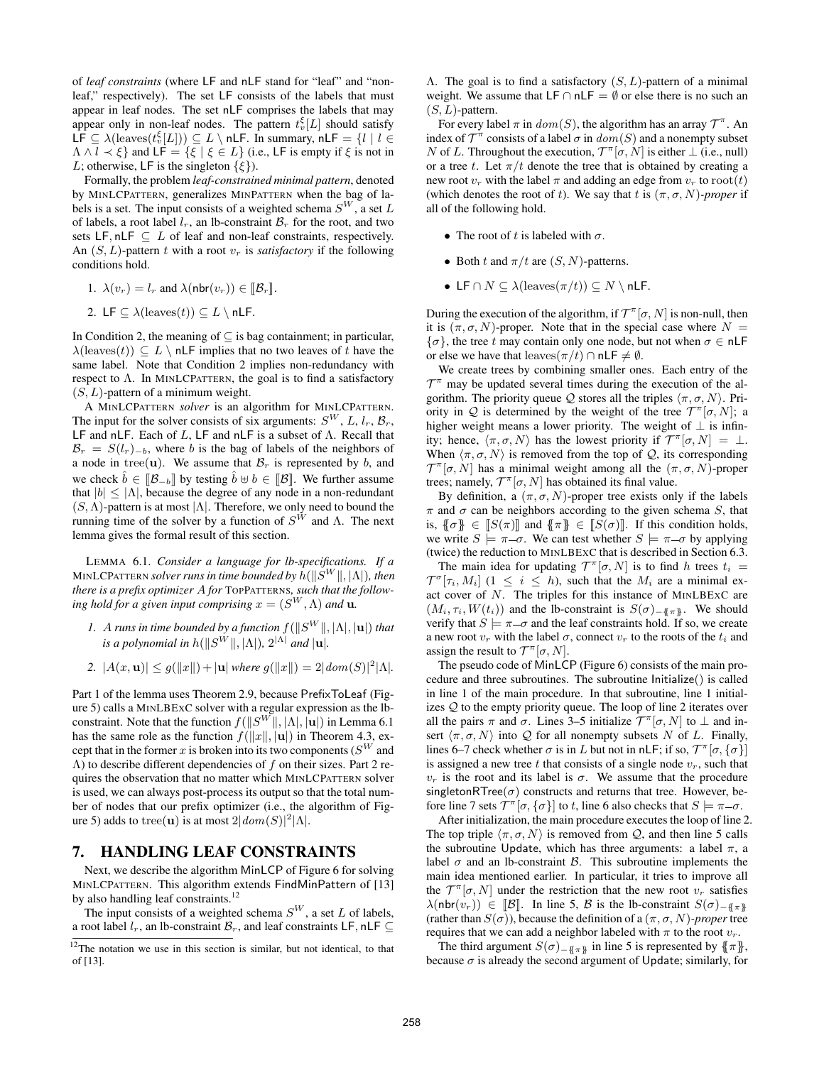of *leaf constraints* (where LF and nLF stand for "leaf" and "nonleaf," respectively). The set LF consists of the labels that must appear in leaf nodes. The set nLF comprises the labels that may appear only in non-leaf nodes. The pattern  $t_v^{\xi}[L]$  should satisfy LF  $\subseteq \lambda(\text{leaves}(t_v^{\xi}[L])) \subseteq L \setminus \textsf{nLF}$ . In summary,  $\textsf{nLF} = \{l \mid l \in$  $\Lambda \wedge l \prec \xi$  and LF =  $\{\xi \mid \xi \in L\}$  (i.e., LF is empty if  $\xi$  is not in L; otherwise, LF is the singleton  $\{\xi\}$ ).

Formally, the problem *leaf-constrained minimal pattern*, denoted by MINLCPATTERN, generalizes MINPATTERN when the bag of labels is a set. The input consists of a weighted schema  $S^W$ , a set L of labels, a root label  $l_r$ , an lb-constraint  $\mathcal{B}_r$  for the root, and two sets LF, nLF  $\subseteq L$  of leaf and non-leaf constraints, respectively. An  $(S, L)$ -pattern t with a root  $v_r$  is *satisfactory* if the following conditions hold.

1. 
$$
\lambda(v_r) = l_r
$$
 and  $\lambda(\text{nbr}(v_r)) \in [\![\mathcal{B}_r]\!]$ .

2. LF 
$$
\subseteq \lambda(\text{leaves}(t)) \subseteq L \setminus \textsf{nLF}.
$$

In Condition 2, the meaning of  $\subseteq$  is bag containment; in particular,  $\lambda$ (leaves(t))  $\subseteq L \setminus n$ **LF** implies that no two leaves of t have the same label. Note that Condition 2 implies non-redundancy with respect to  $\Lambda$ . In MINLCPATTERN, the goal is to find a satisfactory  $(S, L)$ -pattern of a minimum weight.

A MINLCPATTERN *solver* is an algorithm for MINLCPATTERN. The input for the solver consists of six arguments:  $S^{W}$ , L,  $l_{r}$ ,  $\mathcal{B}_{r}$ , LF and nLF. Each of L, LF and nLF is a subset of  $\Lambda$ . Recall that  $\mathcal{B}_r = S(l_r)_{-b}$ , where b is the bag of labels of the neighbors of a node in tree(u). We assume that  $\mathcal{B}_r$  is represented by b, and we check  $\hat{b} \in [\![\mathcal{B}_{-b}]\!]$  by testing  $\hat{b} \oplus b \in [\![\mathcal{B}]\!]$ . We further assume that  $|b| < |\Lambda|$ , because the degree of any node in a non-redundant  $(S, \Lambda)$ -pattern is at most  $|\Lambda|$ . Therefore, we only need to bound the running time of the solver by a function of  $S^W$  and  $\Lambda$ . The next lemma gives the formal result of this section.

LEMMA 6.1. *Consider a language for lb-specifications. If a* MINLCPATTERN *solver runs in time bounded by h*( $\|S^W\|, |\Lambda|$ ), then *there is a prefix optimizer* A *for* TOPPATTERNS*, such that the follow*ing hold for a given input comprising  $x = (S^W, \Lambda)$  and  $\mathbf{u}$ .

- *1.* A runs in time bounded by a function  $f(||S^W||, |\Lambda|, |\mathbf{u}|)$  that *is a polynomial in h*( $\|S^{W}\|$ ,  $|\Lambda|$ ),  $2^{|\Lambda|}$  *and*  $|u|$ *.*
- 2.  $|A(x, \mathbf{u})| \leq g(||x||) + |\mathbf{u}|$  *where*  $g(||x||) = 2| \text{dom}(S)|^2 |\Lambda|$ .

Part 1 of the lemma uses Theorem 2.9, because PrefixToLeaf (Figure 5) calls a MINLBEXC solver with a regular expression as the lbconstraint. Note that the function  $f(||S^W||, |\Lambda|, |\mathbf{u}|)$  in Lemma 6.1 has the same role as the function  $f(||x||, |u|)$  in Theorem 4.3, except that in the former x is broken into its two components ( $S^W$  and  $(\Lambda)$  to describe different dependencies of f on their sizes. Part 2 requires the observation that no matter which MINLCPATTERN solver is used, we can always post-process its output so that the total number of nodes that our prefix optimizer (i.e., the algorithm of Figure 5) adds to tree(**u**) is at most  $2|dom(S)|^2|\Lambda|$ .

## 7. HANDLING LEAF CONSTRAINTS

Next, we describe the algorithm MinLCP of Figure 6 for solving MINLCPATTERN. This algorithm extends FindMinPattern of [13] by also handling leaf constraints.<sup>12</sup>

The input consists of a weighted schema  $S^{W}$ , a set L of labels, a root label  $l_r$ , an lb-constraint  $\mathcal{B}_r$ , and leaf constraints LF, nLF  $\subset$  Λ. The goal is to find a satisfactory (S, L)-pattern of a minimal weight. We assume that  $LF \cap nLF = \emptyset$  or else there is no such an  $(S, L)$ -pattern.

For every label  $\pi$  in  $dom(S)$ , the algorithm has an array  $\mathcal{T}^{\pi}$ . An index of  $\mathcal{T}^{\pi}$  consists of a label  $\sigma$  in  $dom(S)$  and a nonempty subset N of L. Throughout the execution,  $\mathcal{T}^{\pi}[\sigma, N]$  is either  $\perp$  (i.e., null) or a tree t. Let  $\pi/t$  denote the tree that is obtained by creating a new root  $v_r$  with the label  $\pi$  and adding an edge from  $v_r$  to root(t) (which denotes the root of t). We say that t is  $(\pi, \sigma, N)$ *-proper* if all of the following hold.

- The root of t is labeled with  $\sigma$ .
- Both t and  $\pi/t$  are  $(S, N)$ -patterns.
- LF  $\cap N \subseteq \lambda(\text{leaves}(\pi/t)) \subseteq N \setminus \textsf{nLF}.$

During the execution of the algorithm, if  $\mathcal{T}^{\pi}[\sigma, N]$  is non-null, then it is  $(\pi, \sigma, N)$ -proper. Note that in the special case where  $N =$  ${\lbrace \sigma \rbrace}$ , the tree t may contain only one node, but not when  $\sigma \in \mathsf{nLF}$ or else we have that leaves $(\pi/t) \cap n \mathsf{LF} \neq \emptyset$ .

We create trees by combining smaller ones. Each entry of the  $\mathcal{T}^{\pi}$  may be updated several times during the execution of the algorithm. The priority queue  $Q$  stores all the triples  $\langle \pi, \sigma, N \rangle$ . Priority in Q is determined by the weight of the tree  $\mathcal{T}^{\pi}[\sigma, N]$ ; a higher weight means a lower priority. The weight of  $\perp$  is infinity; hence,  $\langle \pi, \sigma, N \rangle$  has the lowest priority if  $\mathcal{T}^{\pi}[\sigma, N] = \bot$ . When  $\langle \pi, \sigma, N \rangle$  is removed from the top of  $\mathcal{Q}$ , its corresponding  $\mathcal{T}^{\pi}[\sigma, N]$  has a minimal weight among all the  $(\pi, \sigma, N)$ -proper trees; namely,  $\mathcal{T}^{\pi}[\sigma, N]$  has obtained its final value.

By definition, a  $(\pi, \sigma, N)$ -proper tree exists only if the labels  $\pi$  and  $\sigma$  can be neighbors according to the given schema S, that is,  $\{\{\sigma\}\in \llbracket S(\pi) \rrbracket$  and  $\{\{\pi\}\in \llbracket S(\sigma) \rrbracket$ . If this condition holds, we write  $S \models \pi - \sigma$ . We can test whether  $S \models \pi - \sigma$  by applying (twice) the reduction to MINLBEXC that is described in Section 6.3.

The main idea for updating  $\mathcal{T}^{\pi}[\sigma, N]$  is to find h trees  $t_i =$  $\mathcal{T}^{\sigma}[\tau_i, M_i]$  (1  $\leq i \leq h$ ), such that the  $M_i$  are a minimal exact cover of N. The triples for this instance of MINLBEXC are  $(M_i, \tau_i, W(t_i))$  and the lb-constraint is  $S(\sigma)_{-\{\{\pi\}}}$ . We should verify that  $S \models \pi - \sigma$  and the leaf constraints hold. If so, we create a new root  $v_r$  with the label  $\sigma$ , connect  $v_r$  to the roots of the  $t_i$  and assign the result to  $\mathcal{T}^{\pi}[\sigma, N]$ .

The pseudo code of MinLCP (Figure 6) consists of the main procedure and three subroutines. The subroutine Initialize() is called in line 1 of the main procedure. In that subroutine, line 1 initializes Q to the empty priority queue. The loop of line 2 iterates over all the pairs  $\pi$  and  $\sigma$ . Lines 3–5 initialize  $\mathcal{T}^{\pi}[\sigma, N]$  to  $\perp$  and insert  $\langle \pi, \sigma, N \rangle$  into Q for all nonempty subsets N of L. Finally, lines 6–7 check whether  $\sigma$  is in L but not in nLF; if so,  $\mathcal{T}^{\pi}[\sigma, \{\sigma\}]$ is assigned a new tree t that consists of a single node  $v_r$ , such that  $v_r$  is the root and its label is  $\sigma$ . We assume that the procedure singletonRTree( $\sigma$ ) constructs and returns that tree. However, before line 7 sets  $\mathcal{T}^{\pi}[\sigma, \{\sigma\}]$  to t, line 6 also checks that  $S \models \pi - \sigma$ .

After initialization, the main procedure executes the loop of line 2. The top triple  $\langle \pi, \sigma, N \rangle$  is removed from Q, and then line 5 calls the subroutine Update, which has three arguments: a label  $\pi$ , a label  $\sigma$  and an lb-constraint  $\beta$ . This subroutine implements the main idea mentioned earlier. In particular, it tries to improve all the  $\mathcal{T}^{\pi}[\sigma, N]$  under the restriction that the new root  $v_r$  satisfies  $\lambda(\text{nbr}(v_r)) \in \mathbb{B}$ . In line 5, B is the lb-constraint  $S(\sigma)_{-\mathcal{F}(\pi)\mathcal{F}}$ (rather than  $S(\sigma)$ ), because the definition of a  $(\pi, \sigma, N)$ *-proper* tree requires that we can add a neighbor labeled with  $\pi$  to the root  $v_r$ .

The third argument  $S(\sigma)$ <sub>−{{π}}</sub> in line 5 is represented by {{ $\pi$ }}, because  $\sigma$  is already the second argument of Update; similarly, for

 $12$ The notation we use in this section is similar, but not identical, to that of [13].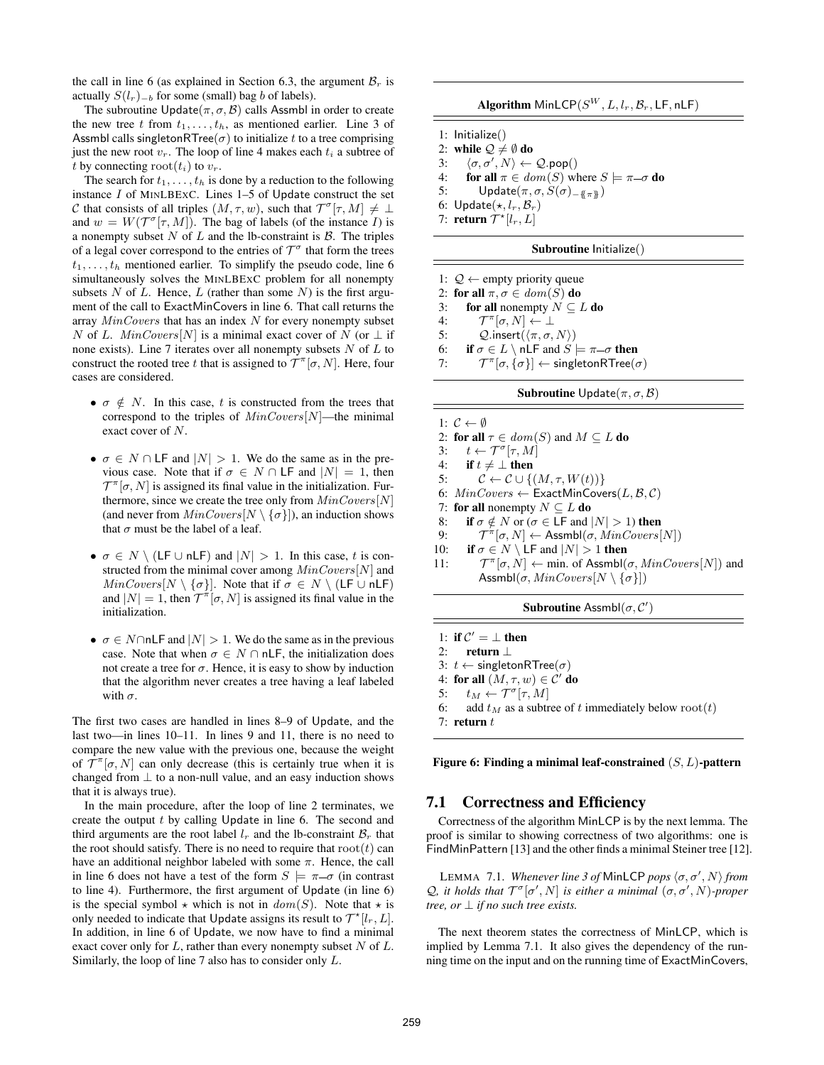the call in line 6 (as explained in Section 6.3, the argument  $\mathcal{B}_r$  is actually  $S(l_r)_{-b}$  for some (small) bag b of labels).

The subroutine Update $(\pi, \sigma, \mathcal{B})$  calls Assmbl in order to create the new tree t from  $t_1, \ldots, t_h$ , as mentioned earlier. Line 3 of Assmbl calls singletonRTree( $\sigma$ ) to initialize t to a tree comprising just the new root  $v_r$ . The loop of line 4 makes each  $t_i$  a subtree of t by connecting root $(t_i)$  to  $v_r$ .

The search for  $t_1, \ldots, t_h$  is done by a reduction to the following instance  $I$  of MINLBEXC. Lines 1–5 of Update construct the set C that consists of all triples  $(M, \tau, w)$ , such that  $\mathcal{T}^{\sigma}[\tau, M] \neq \bot$ and  $w = W(\mathcal{T}^{\sigma}[\tau, M])$ . The bag of labels (of the instance I) is a nonempty subset  $N$  of  $L$  and the lb-constraint is  $\beta$ . The triples of a legal cover correspond to the entries of  $\mathcal{T}^{\sigma}$  that form the trees  $t_1, \ldots, t_h$  mentioned earlier. To simplify the pseudo code, line 6 simultaneously solves the MINLBEXC problem for all nonempty subsets  $N$  of  $L$ . Hence,  $L$  (rather than some  $N$ ) is the first argument of the call to ExactMinCovers in line 6. That call returns the array  $MinCovers$  that has an index  $N$  for every nonempty subset N of L.  $MinCovers[N]$  is a minimal exact cover of N (or  $\perp$  if none exists). Line 7 iterates over all nonempty subsets  $N$  of  $L$  to construct the rooted tree t that is assigned to  $\mathcal{T}^{\pi}[\sigma, N]$ . Here, four cases are considered.

- $\sigma \notin N$ . In this case, t is constructed from the trees that correspond to the triples of  $MinCovers[N]$ —the minimal exact cover of N.
- $\sigma \in N \cap \textsf{LF}$  and  $|N| > 1$ . We do the same as in the previous case. Note that if  $\sigma \in N \cap \mathsf{LF}$  and  $|N| = 1$ , then  $\mathcal{T}^{\pi}[\sigma, N]$  is assigned its final value in the initialization. Furthermore, since we create the tree only from  $MinCovers[N]$ (and never from  $MinCovers[N \setminus {\sigma}])$ , an induction shows that  $\sigma$  must be the label of a leaf.
- $\sigma \in N \setminus (LF \cup nLF)$  and  $|N| > 1$ . In this case, t is constructed from the minimal cover among  $MinCovers[N]$  and  $MinCovers[N \setminus {\sigma}].$  Note that if  $\sigma \in N \setminus (LF \cup nLF)$ and  $|N| = 1$ , then  $T^{\pi}[\sigma, N]$  is assigned its final value in the initialization.
- $\sigma \in N \cap n$  LF and  $|N| > 1$ . We do the same as in the previous case. Note that when  $\sigma \in N \cap n\mathsf{LF}$ , the initialization does not create a tree for  $\sigma$ . Hence, it is easy to show by induction that the algorithm never creates a tree having a leaf labeled with  $\sigma$ .

The first two cases are handled in lines 8–9 of Update, and the last two—in lines 10–11. In lines 9 and 11, there is no need to compare the new value with the previous one, because the weight of  $\mathcal{T}^{\pi}[\sigma, N]$  can only decrease (this is certainly true when it is changed from  $\perp$  to a non-null value, and an easy induction shows that it is always true).

In the main procedure, after the loop of line 2 terminates, we create the output  $t$  by calling Update in line 6. The second and third arguments are the root label  $l_r$  and the lb-constraint  $\mathcal{B}_r$  that the root should satisfy. There is no need to require that  $root(t)$  can have an additional neighbor labeled with some  $\pi$ . Hence, the call in line 6 does not have a test of the form  $S \models \pi - \sigma$  (in contrast to line 4). Furthermore, the first argument of Update (in line 6) is the special symbol  $\star$  which is not in  $dom(S)$ . Note that  $\star$  is only needed to indicate that Update assigns its result to  $\mathcal{T}^{\star}[l_r,L].$ In addition, in line 6 of Update, we now have to find a minimal exact cover only for  $L$ , rather than every nonempty subset  $N$  of  $L$ . Similarly, the loop of line 7 also has to consider only L.

| <b>Algorithm</b> MinLCP $(S^W, L, l_r, \mathcal{B}_r, \mathsf{LF}, \mathsf{nLF})$ |  |  |  |
|-----------------------------------------------------------------------------------|--|--|--|
|-----------------------------------------------------------------------------------|--|--|--|

- 1: Initialize()
- 2: while  $\mathcal{Q} \neq \emptyset$  do
- 3:  $\langle \sigma, \sigma', N \rangle \leftarrow \mathcal{Q}.\mathsf{pop}()$
- 4: for all  $\pi \in dom(S)$  where  $S \models \pi \sigma$  do
- 5: Update $(\pi, \sigma, S(\sigma)_{-\{\pi \pi\}})$
- 6:  $Update(*, l_r, \mathcal{B}_r)$
- 7: **return**  $\mathcal{T}^{\star}[l_r,L]$

## Subroutine Initialize()

- 1:  $Q$  ← empty priority queue
- 2: for all  $\pi, \sigma \in dom(S)$  do
- 3: for all nonempty  $N \subseteq L$  do
- 4:  $\mathcal{T}^{\pi}[\sigma, N] \leftarrow \perp$
- 5:  $Q.\text{insert}(\langle \pi, \sigma, N \rangle)$
- 6: if  $\sigma \in L \setminus n \in \mathbb{R}$  and  $S \models \pi \sigma$  then
- $7:$  $\pi[\sigma, {\sigma}] \leftarrow$  singletonRTree $(\sigma)$

#### **Subroutine** Update $(\pi, \sigma, \mathcal{B})$

1:  $C \leftarrow \emptyset$ 2: for all  $\tau \in dom(S)$  and  $M \subseteq L$  do 3:  $t \leftarrow \mathcal{T}^{\sigma}[\tau, M]$ 4: if  $t \neq \perp$  then 5:  $C \leftarrow C \cup \{(M, \tau, W(t))\}$ 6:  $MinCovers \leftarrow$  ExactMinCovers $(L, \mathcal{B}, \mathcal{C})$ 7: for all nonempty  $N \subseteq L$  do 8: if  $\sigma \notin N$  or ( $\sigma \in \mathsf{LF}$  and  $|N| > 1$ ) then  $9:$  $\pi^{\pi}[\sigma, N] \leftarrow \mathsf{Assmbl}(\sigma, \text{MinCovers}[N])$ 10: if  $\sigma \in N \setminus \mathsf{LF}$  and  $|N| > 1$  then  $11:$  $\pi[\sigma, N] \leftarrow$  min. of Assmbl $(\sigma, MinCovers[N])$  and Assmbl $(\sigma, MinCovers[N \setminus {\{\sigma\}}])$ Subroutine Assmbl $(\sigma, C')$ 

- 1: if  $C' = \perp$  then
- 2: return ⊥
- 3:  $t$  ← singletonRTree( $\sigma$ )
- 4: for all  $(M,\tau,w)\in \mathcal{C}'$  do
- 5:  $t_M \leftarrow \mathcal{T}^{\sigma}[\tau, M]$
- 6: add  $t_M$  as a subtree of t immediately below root(t)
- 7: return  $t$

Figure 6: Finding a minimal leaf-constrained  $(S, L)$ -pattern

# 7.1 Correctness and Efficiency

Correctness of the algorithm MinLCP is by the next lemma. The proof is similar to showing correctness of two algorithms: one is FindMinPattern [13] and the other finds a minimal Steiner tree [12].

LEMMA 7.1. *Whenever line 3 of MinLCP pops*  $\langle \sigma, \sigma', N \rangle$  *from*  $\mathcal{Q}$ , it holds that  $\mathcal{T}^{\sigma}[\sigma', N]$  is either a minimal  $(\sigma, \sigma', N)$ *-proper tree, or*  $\perp$  *if no such tree exists.* 

The next theorem states the correctness of MinLCP, which is implied by Lemma 7.1. It also gives the dependency of the running time on the input and on the running time of ExactMinCovers,